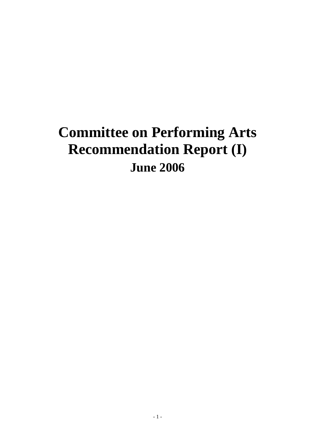# **Committee on Performing Arts Recommendation Report (I) June 2006**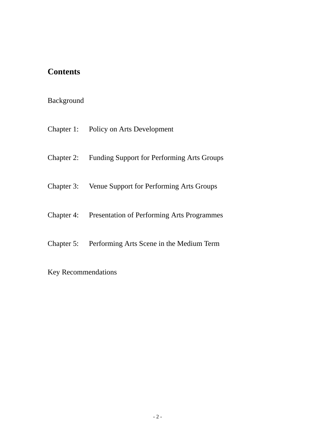# **Contents**

# Background

- Chapter 1: Policy on Arts Development
- Chapter 2: Funding Support for Performing Arts Groups
- Chapter 3: Venue Support for Performing Arts Groups
- Chapter 4: Presentation of Performing Arts Programmes
- Chapter 5: Performing Arts Scene in the Medium Term
- Key Recommendations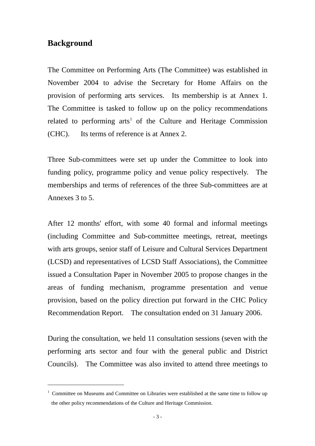# **Background**

 $\overline{a}$ 

The Committee on Performing Arts (The Committee) was established in November 2004 to advise the Secretary for Home Affairs on the provision of performing arts services. Its membership is at Annex 1. The Committee is tasked to follow up on the policy recommendations related to performing  $arts<sup>1</sup>$  $arts<sup>1</sup>$  $arts<sup>1</sup>$  of the Culture and Heritage Commission (CHC). Its terms of reference is at Annex 2.

Three Sub-committees were set up under the Committee to look into funding policy, programme policy and venue policy respectively. The memberships and terms of references of the three Sub-committees are at Annexes 3 to 5.

After 12 months' effort, with some 40 formal and informal meetings (including Committee and Sub-committee meetings, retreat, meetings with arts groups, senior staff of Leisure and Cultural Services Department (LCSD) and representatives of LCSD Staff Associations), the Committee issued a Consultation Paper in November 2005 to propose changes in the areas of funding mechanism, programme presentation and venue provision, based on the policy direction put forward in the CHC Policy Recommendation Report. The consultation ended on 31 January 2006.

During the consultation, we held 11 consultation sessions (seven with the performing arts sector and four with the general public and District Councils). The Committee was also invited to attend three meetings to

<span id="page-2-0"></span><sup>&</sup>lt;sup>1</sup> Committee on Museums and Committee on Libraries were established at the same time to follow up the other policy recommendations of the Culture and Heritage Commission.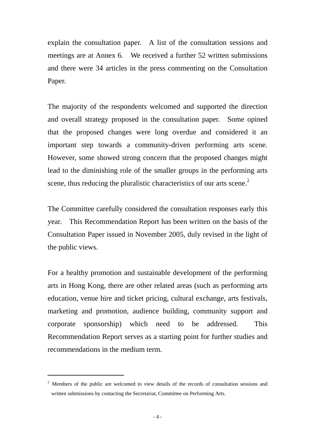explain the consultation paper. A list of the consultation sessions and meetings are at Annex 6. We received a further 52 written submissions and there were 34 articles in the press commenting on the Consultation Paper.

The majority of the respondents welcomed and supported the direction and overall strategy proposed in the consultation paper. Some opined that the proposed changes were long overdue and considered it an important step towards a community-driven performing arts scene. However, some showed strong concern that the proposed changes might lead to the diminishing role of the smaller groups in the performing arts scene, thus reducing the pluralistic characteristics of our arts scene.<sup>[2](#page-3-0)</sup>

The Committee carefully considered the consultation responses early this year. This Recommendation Report has been written on the basis of the Consultation Paper issued in November 2005, duly revised in the light of the public views.

For a healthy promotion and sustainable development of the performing arts in Hong Kong, there are other related areas (such as performing arts education, venue hire and ticket pricing, cultural exchange, arts festivals, marketing and promotion, audience building, community support and corporate sponsorship) which need to be addressed. This Recommendation Report serves as a starting point for further studies and recommendations in the medium term.

 $\overline{a}$ 

<span id="page-3-0"></span><sup>&</sup>lt;sup>2</sup> Members of the public are welcomed to view details of the records of consultation sessions and written submissions by contacting the Secretariat, Committee on Performing Arts.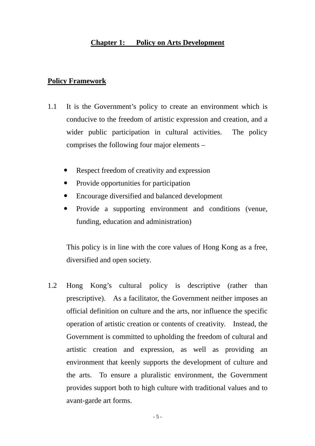# **Chapter 1: Policy on Arts Development**

#### **Policy Framework**

- 1.1 It is the Government's policy to create an environment which is conducive to the freedom of artistic expression and creation, and a wider public participation in cultural activities. The policy comprises the following four major elements –
	- Respect freedom of creativity and expression
	- Provide opportunities for participation
	- Encourage diversified and balanced development
	- Provide a supporting environment and conditions (venue, funding, education and administration)

This policy is in line with the core values of Hong Kong as a free, diversified and open society.

1.2 Hong Kong's cultural policy is descriptive (rather than prescriptive). As a facilitator, the Government neither imposes an official definition on culture and the arts, nor influence the specific operation of artistic creation or contents of creativity. Instead, the Government is committed to upholding the freedom of cultural and artistic creation and expression, as well as providing an environment that keenly supports the development of culture and the arts. To ensure a pluralistic environment, the Government provides support both to high culture with traditional values and to avant-garde art forms.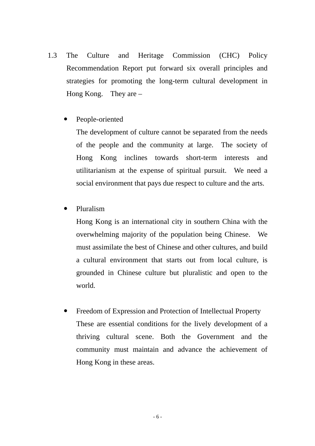- 1.3 The Culture and Heritage Commission (CHC) Policy Recommendation Report put forward six overall principles and strategies for promoting the long-term cultural development in Hong Kong. They are –
	- People-oriented

The development of culture cannot be separated from the needs of the people and the community at large. The society of Hong Kong inclines towards short-term interests and utilitarianism at the expense of spiritual pursuit. We need a social environment that pays due respect to culture and the arts.

Pluralism

Hong Kong is an international city in southern China with the overwhelming majority of the population being Chinese. We must assimilate the best of Chinese and other cultures, and build a cultural environment that starts out from local culture, is grounded in Chinese culture but pluralistic and open to the world.

Freedom of Expression and Protection of Intellectual Property These are essential conditions for the lively development of a thriving cultural scene. Both the Government and the community must maintain and advance the achievement of Hong Kong in these areas.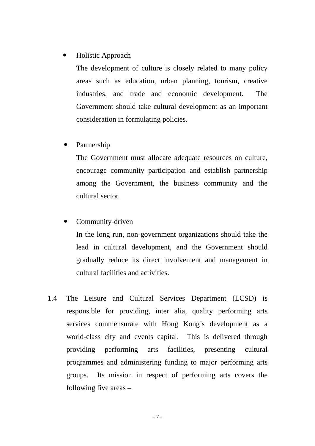# Holistic Approach

The development of culture is closely related to many policy areas such as education, urban planning, tourism, creative industries, and trade and economic development. The Government should take cultural development as an important consideration in formulating policies.

# Partnership

The Government must allocate adequate resources on culture, encourage community participation and establish partnership among the Government, the business community and the cultural sector.

# • Community-driven

In the long run, non-government organizations should take the lead in cultural development, and the Government should gradually reduce its direct involvement and management in cultural facilities and activities.

1.4 The Leisure and Cultural Services Department (LCSD) is responsible for providing, inter alia, quality performing arts services commensurate with Hong Kong's development as a world-class city and events capital. This is delivered through providing performing arts facilities, presenting cultural programmes and administering funding to major performing arts groups. Its mission in respect of performing arts covers the following five areas –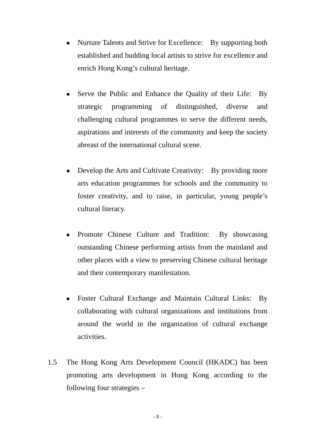- Nurture Talents and Strive for Excellence: By supporting both established and budding local artists to strive for excellence and enrich Hong Kong's cultural heritage.
- Serve the Public and Enhance the Quality of their Life: By strategic programming of distinguished, diverse and challenging cultural programmes to serve the different needs, aspirations and interests of the community and keep the society abreast of the international cultural scene.
- Develop the Arts and Cultivate Creativity: By providing more arts education programmes for schools and the community to foster creativity, and to raise, in particular, young people's cultural literacy.
- Promote Chinese Culture and Tradition: By showcasing outstanding Chinese performing artists from the mainland and other places with a view to preserving Chinese cultural heritage and their contemporary manifestation.
- Foster Cultural Exchange and Maintain Cultural Links: By collaborating with cultural organizations and institutions from around the world in the organization of cultural exchange activities.
- 1.5 The Hong Kong Arts Development Council (HKADC) has been promoting arts development in Hong Kong according to the following four strategies –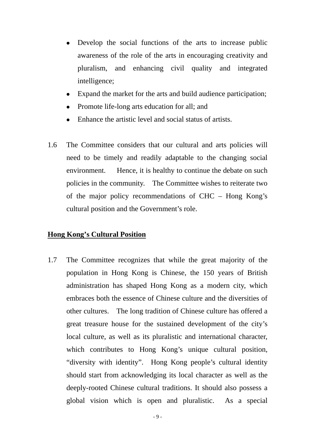- Develop the social functions of the arts to increase public awareness of the role of the arts in encouraging creativity and pluralism, and enhancing civil quality and integrated intelligence;
- Expand the market for the arts and build audience participation;
- Promote life-long arts education for all; and
- Enhance the artistic level and social status of artists.
- 1.6 The Committee considers that our cultural and arts policies will need to be timely and readily adaptable to the changing social environment. Hence, it is healthy to continue the debate on such policies in the community. The Committee wishes to reiterate two of the major policy recommendations of CHC – Hong Kong's cultural position and the Government's role.

#### **Hong Kong's Cultural Position**

1.7 The Committee recognizes that while the great majority of the population in Hong Kong is Chinese, the 150 years of British administration has shaped Hong Kong as a modern city, which embraces both the essence of Chinese culture and the diversities of other cultures. The long tradition of Chinese culture has offered a great treasure house for the sustained development of the city's local culture, as well as its pluralistic and international character, which contributes to Hong Kong's unique cultural position, "diversity with identity". Hong Kong people's cultural identity should start from acknowledging its local character as well as the deeply-rooted Chinese cultural traditions. It should also possess a global vision which is open and pluralistic. As a special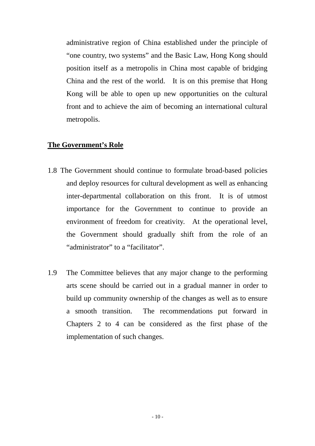administrative region of China established under the principle of "one country, two systems" and the Basic Law, Hong Kong should position itself as a metropolis in China most capable of bridging China and the rest of the world. It is on this premise that Hong Kong will be able to open up new opportunities on the cultural front and to achieve the aim of becoming an international cultural metropolis.

#### **The Government's Role**

- 1.8 The Government should continue to formulate broad-based policies and deploy resources for cultural development as well as enhancing inter-departmental collaboration on this front. It is of utmost importance for the Government to continue to provide an environment of freedom for creativity. At the operational level, the Government should gradually shift from the role of an "administrator" to a "facilitator".
- 1.9 The Committee believes that any major change to the performing arts scene should be carried out in a gradual manner in order to build up community ownership of the changes as well as to ensure a smooth transition. The recommendations put forward in Chapters 2 to 4 can be considered as the first phase of the implementation of such changes.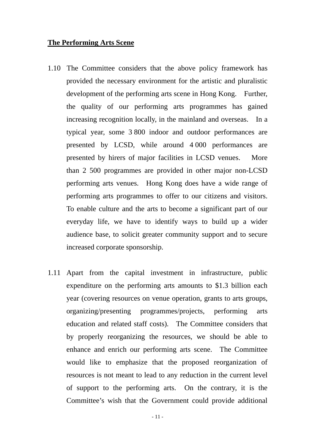#### **The Performing Arts Scene**

- 1.10 The Committee considers that the above policy framework has provided the necessary environment for the artistic and pluralistic development of the performing arts scene in Hong Kong. Further, the quality of our performing arts programmes has gained increasing recognition locally, in the mainland and overseas. In a typical year, some 3 800 indoor and outdoor performances are presented by LCSD, while around 4 000 performances are presented by hirers of major facilities in LCSD venues. More than 2 500 programmes are provided in other major non-LCSD performing arts venues. Hong Kong does have a wide range of performing arts programmes to offer to our citizens and visitors. To enable culture and the arts to become a significant part of our everyday life, we have to identify ways to build up a wider audience base, to solicit greater community support and to secure increased corporate sponsorship.
- 1.11 Apart from the capital investment in infrastructure, public expenditure on the performing arts amounts to \$1.3 billion each year (covering resources on venue operation, grants to arts groups, organizing/presenting programmes/projects, performing arts education and related staff costs). The Committee considers that by properly reorganizing the resources, we should be able to enhance and enrich our performing arts scene. The Committee would like to emphasize that the proposed reorganization of resources is not meant to lead to any reduction in the current level of support to the performing arts. On the contrary, it is the Committee's wish that the Government could provide additional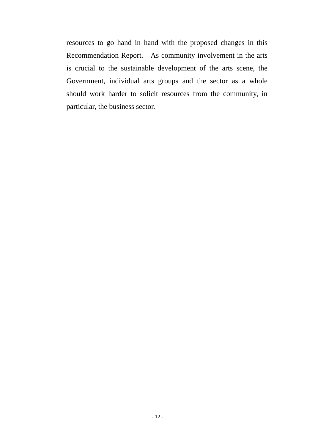resources to go hand in hand with the proposed changes in this Recommendation Report. As community involvement in the arts is crucial to the sustainable development of the arts scene, the Government, individual arts groups and the sector as a whole should work harder to solicit resources from the community, in particular, the business sector.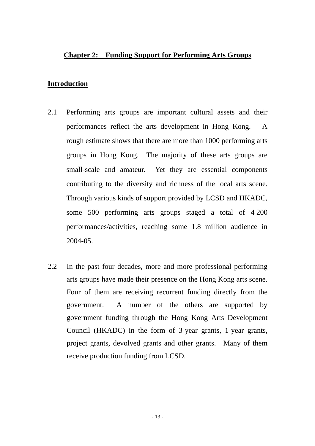#### **Chapter 2: Funding Support for Performing Arts Groups**

#### **Introduction**

- 2.1 Performing arts groups are important cultural assets and their performances reflect the arts development in Hong Kong. A rough estimate shows that there are more than 1000 performing arts groups in Hong Kong. The majority of these arts groups are small-scale and amateur. Yet they are essential components contributing to the diversity and richness of the local arts scene. Through various kinds of support provided by LCSD and HKADC, some 500 performing arts groups staged a total of 4 200 performances/activities, reaching some 1.8 million audience in 2004-05.
- 2.2 In the past four decades, more and more professional performing arts groups have made their presence on the Hong Kong arts scene. Four of them are receiving recurrent funding directly from the government. A number of the others are supported by government funding through the Hong Kong Arts Development Council (HKADC) in the form of 3-year grants, 1-year grants, project grants, devolved grants and other grants. Many of them receive production funding from LCSD.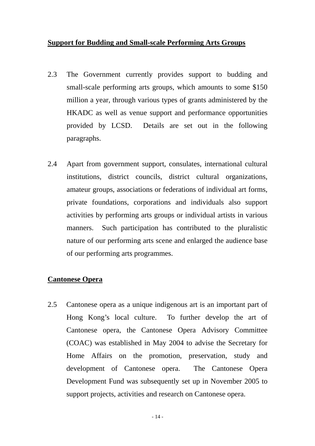#### **Support for Budding and Small-scale Performing Arts Groups**

- 2.3 The Government currently provides support to budding and small-scale performing arts groups, which amounts to some \$150 million a year, through various types of grants administered by the HKADC as well as venue support and performance opportunities provided by LCSD. Details are set out in the following paragraphs.
- 2.4 Apart from government support, consulates, international cultural institutions, district councils, district cultural organizations, amateur groups, associations or federations of individual art forms, private foundations, corporations and individuals also support activities by performing arts groups or individual artists in various manners. Such participation has contributed to the pluralistic nature of our performing arts scene and enlarged the audience base of our performing arts programmes.

# **Cantonese Opera**

2.5 Cantonese opera as a unique indigenous art is an important part of Hong Kong's local culture. To further develop the art of Cantonese opera, the Cantonese Opera Advisory Committee (COAC) was established in May 2004 to advise the Secretary for Home Affairs on the promotion, preservation, study and development of Cantonese opera. The Cantonese Opera Development Fund was subsequently set up in November 2005 to support projects, activities and research on Cantonese opera.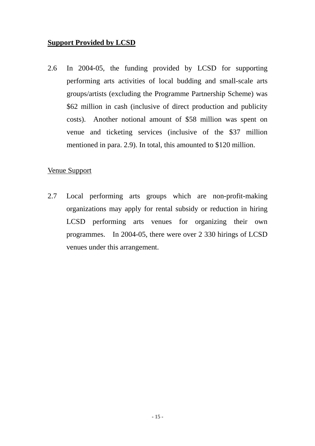# **Support Provided by LCSD**

2.6 In 2004-05, the funding provided by LCSD for supporting performing arts activities of local budding and small-scale arts groups/artists (excluding the Programme Partnership Scheme) was \$62 million in cash (inclusive of direct production and publicity costs). Another notional amount of \$58 million was spent on venue and ticketing services (inclusive of the \$37 million mentioned in para. 2.9). In total, this amounted to \$120 million.

#### Venue Support

2.7 Local performing arts groups which are non-profit-making organizations may apply for rental subsidy or reduction in hiring LCSD performing arts venues for organizing their own programmes. In 2004-05, there were over 2 330 hirings of LCSD venues under this arrangement.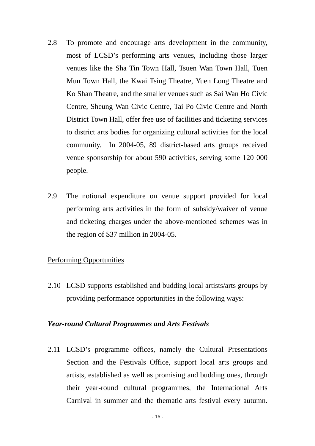- 2.8 To promote and encourage arts development in the community, most of LCSD's performing arts venues, including those larger venues like the Sha Tin Town Hall, Tsuen Wan Town Hall, Tuen Mun Town Hall, the Kwai Tsing Theatre, Yuen Long Theatre and Ko Shan Theatre, and the smaller venues such as Sai Wan Ho Civic Centre, Sheung Wan Civic Centre, Tai Po Civic Centre and North District Town Hall, offer free use of facilities and ticketing services to district arts bodies for organizing cultural activities for the local community. In 2004-05, 89 district-based arts groups received venue sponsorship for about 590 activities, serving some 120 000 people.
- 2.9 The notional expenditure on venue support provided for local performing arts activities in the form of subsidy/waiver of venue and ticketing charges under the above-mentioned schemes was in the region of \$37 million in 2004-05.

# Performing Opportunities

2.10 LCSD supports established and budding local artists/arts groups by providing performance opportunities in the following ways:

#### *Year-round Cultural Programmes and Arts Festivals*

2.11 LCSD's programme offices, namely the Cultural Presentations Section and the Festivals Office, support local arts groups and artists, established as well as promising and budding ones, through their year-round cultural programmes, the International Arts Carnival in summer and the thematic arts festival every autumn.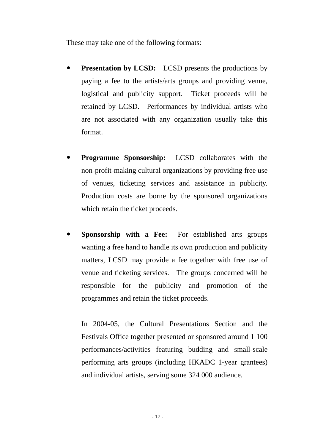These may take one of the following formats:

- **Presentation by LCSD:** LCSD presents the productions by paying a fee to the artists/arts groups and providing venue, logistical and publicity support. Ticket proceeds will be retained by LCSD. Performances by individual artists who are not associated with any organization usually take this format.
- **Programme Sponsorship:** LCSD collaborates with the non-profit-making cultural organizations by providing free use of venues, ticketing services and assistance in publicity. Production costs are borne by the sponsored organizations which retain the ticket proceeds.
- **Sponsorship with a Fee:** For established arts groups wanting a free hand to handle its own production and publicity matters, LCSD may provide a fee together with free use of venue and ticketing services. The groups concerned will be responsible for the publicity and promotion of the programmes and retain the ticket proceeds.

In 2004-05, the Cultural Presentations Section and the Festivals Office together presented or sponsored around 1 100 performances/activities featuring budding and small-scale performing arts groups (including HKADC 1-year grantees) and individual artists, serving some 324 000 audience.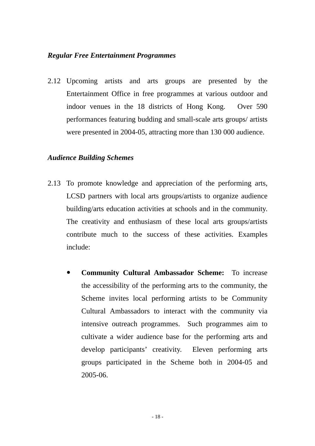#### *Regular Free Entertainment Programmes*

2.12 Upcoming artists and arts groups are presented by the Entertainment Office in free programmes at various outdoor and indoor venues in the 18 districts of Hong Kong. Over 590 performances featuring budding and small-scale arts groups/ artists were presented in 2004-05, attracting more than 130 000 audience.

## *Audience Building Schemes*

- 2.13 To promote knowledge and appreciation of the performing arts, LCSD partners with local arts groups/artists to organize audience building/arts education activities at schools and in the community. The creativity and enthusiasm of these local arts groups/artists contribute much to the success of these activities. Examples include:
	- y **Community Cultural Ambassador Scheme:** To increase the accessibility of the performing arts to the community, the Scheme invites local performing artists to be Community Cultural Ambassadors to interact with the community via intensive outreach programmes. Such programmes aim to cultivate a wider audience base for the performing arts and develop participants' creativity. Eleven performing arts groups participated in the Scheme both in 2004-05 and 2005-06.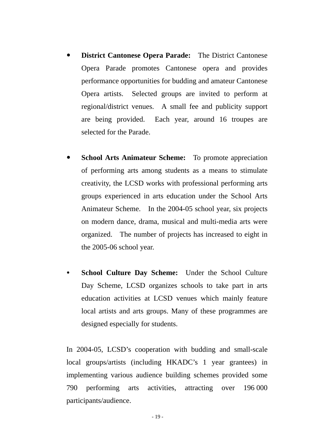- **District Cantonese Opera Parade:** The District Cantonese Opera Parade promotes Cantonese opera and provides performance opportunities for budding and amateur Cantonese Opera artists. Selected groups are invited to perform at regional/district venues. A small fee and publicity support are being provided. Each year, around 16 troupes are selected for the Parade.
- **School Arts Animateur Scheme:** To promote appreciation of performing arts among students as a means to stimulate creativity, the LCSD works with professional performing arts groups experienced in arts education under the School Arts Animateur Scheme. In the 2004-05 school year, six projects on modern dance, drama, musical and multi-media arts were organized. The number of projects has increased to eight in the 2005-06 school year.
- School Culture Day Scheme: Under the School Culture Day Scheme, LCSD organizes schools to take part in arts education activities at LCSD venues which mainly feature local artists and arts groups. Many of these programmes are designed especially for students.

In 2004-05, LCSD's cooperation with budding and small-scale local groups/artists (including HKADC's 1 year grantees) in implementing various audience building schemes provided some 790 performing arts activities, attracting over 196 000 participants/audience.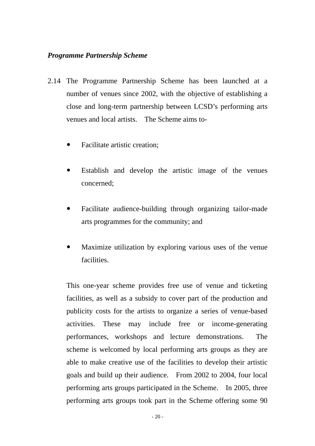## *Programme Partnership Scheme*

- 2.14 The Programme Partnership Scheme has been launched at a number of venues since 2002, with the objective of establishing a close and long-term partnership between LCSD's performing arts venues and local artists. The Scheme aims to-
	- Facilitate artistic creation;
	- Establish and develop the artistic image of the venues concerned;
	- Facilitate audience-building through organizing tailor-made arts programmes for the community; and
	- Maximize utilization by exploring various uses of the venue facilities.

This one-year scheme provides free use of venue and ticketing facilities, as well as a subsidy to cover part of the production and publicity costs for the artists to organize a series of venue-based activities. These may include free or income-generating performances, workshops and lecture demonstrations. The scheme is welcomed by local performing arts groups as they are able to make creative use of the facilities to develop their artistic goals and build up their audience. From 2002 to 2004, four local performing arts groups participated in the Scheme. In 2005, three performing arts groups took part in the Scheme offering some 90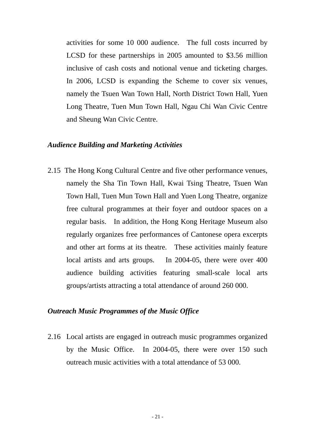activities for some 10 000 audience. The full costs incurred by LCSD for these partnerships in 2005 amounted to \$3.56 million inclusive of cash costs and notional venue and ticketing charges. In 2006, LCSD is expanding the Scheme to cover six venues, namely the Tsuen Wan Town Hall, North District Town Hall, Yuen Long Theatre, Tuen Mun Town Hall, Ngau Chi Wan Civic Centre and Sheung Wan Civic Centre.

#### *Audience Building and Marketing Activities*

2.15 The Hong Kong Cultural Centre and five other performance venues, namely the Sha Tin Town Hall, Kwai Tsing Theatre, Tsuen Wan Town Hall, Tuen Mun Town Hall and Yuen Long Theatre, organize free cultural programmes at their foyer and outdoor spaces on a regular basis. In addition, the Hong Kong Heritage Museum also regularly organizes free performances of Cantonese opera excerpts and other art forms at its theatre. These activities mainly feature local artists and arts groups. In 2004-05, there were over 400 audience building activities featuring small-scale local arts groups/artists attracting a total attendance of around 260 000.

#### *Outreach Music Programmes of the Music Office*

2.16 Local artists are engaged in outreach music programmes organized by the Music Office. In 2004-05, there were over 150 such outreach music activities with a total attendance of 53 000.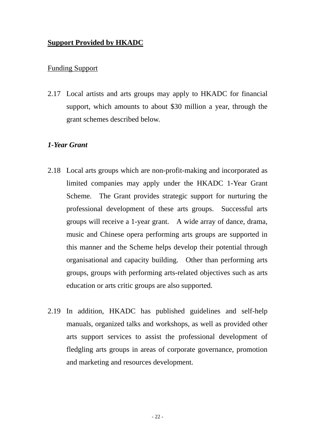# **Support Provided by HKADC**

# Funding Support

2.17 Local artists and arts groups may apply to HKADC for financial support, which amounts to about \$30 million a year, through the grant schemes described below.

# *1-Year Grant*

- 2.18 Local arts groups which are non-profit-making and incorporated as limited companies may apply under the HKADC 1-Year Grant Scheme. The Grant provides strategic support for nurturing the professional development of these arts groups. Successful arts groups will receive a 1-year grant. A wide array of dance, drama, music and Chinese opera performing arts groups are supported in this manner and the Scheme helps develop their potential through organisational and capacity building. Other than performing arts groups, groups with performing arts-related objectives such as arts education or arts critic groups are also supported.
- 2.19 In addition, HKADC has published guidelines and self-help manuals, organized talks and workshops, as well as provided other arts support services to assist the professional development of fledgling arts groups in areas of corporate governance, promotion and marketing and resources development.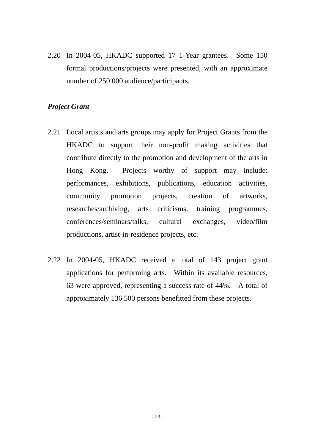2.20 In 2004-05, HKADC supported 17 1-Year grantees. Some 150 formal productions/projects were presented, with an approximate number of 250 000 audience/participants.

#### *Project Grant*

- 2.21 Local artists and arts groups may apply for Project Grants from the HKADC to support their non-profit making activities that contribute directly to the promotion and development of the arts in Hong Kong. Projects worthy of support may include: performances, exhibitions, publications, education activities, community promotion projects, creation of artworks, researches/archiving, arts criticisms, training programmes, conferences/seminars/talks, cultural exchanges, video/film productions, artist-in-residence projects, etc.
- 2.22 In 2004-05, HKADC received a total of 143 project grant applications for performing arts. Within its available resources, 63 were approved, representing a success rate of 44%. A total of approximately 136 500 persons benefitted from these projects.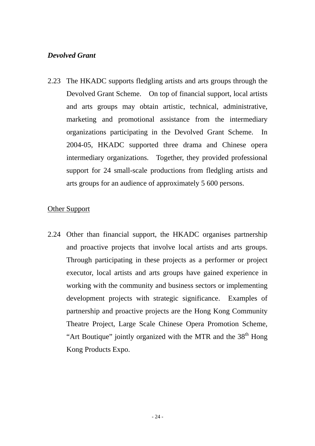# *Devolved Grant*

2.23 The HKADC supports fledgling artists and arts groups through the Devolved Grant Scheme. On top of financial support, local artists and arts groups may obtain artistic, technical, administrative, marketing and promotional assistance from the intermediary organizations participating in the Devolved Grant Scheme. In 2004-05, HKADC supported three drama and Chinese opera intermediary organizations. Together, they provided professional support for 24 small-scale productions from fledgling artists and arts groups for an audience of approximately 5 600 persons.

## Other Support

2.24 Other than financial support, the HKADC organises partnership and proactive projects that involve local artists and arts groups. Through participating in these projects as a performer or project executor, local artists and arts groups have gained experience in working with the community and business sectors or implementing development projects with strategic significance. Examples of partnership and proactive projects are the Hong Kong Community Theatre Project, Large Scale Chinese Opera Promotion Scheme, "Art Boutique" jointly organized with the MTR and the 38<sup>th</sup> Hong Kong Products Expo.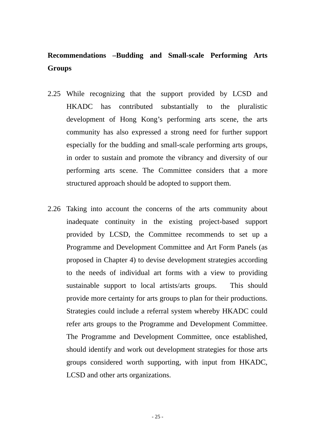# **Recommendations –Budding and Small-scale Performing Arts Groups**

- 2.25 While recognizing that the support provided by LCSD and HKADC has contributed substantially to the pluralistic development of Hong Kong's performing arts scene, the arts community has also expressed a strong need for further support especially for the budding and small-scale performing arts groups, in order to sustain and promote the vibrancy and diversity of our performing arts scene. The Committee considers that a more structured approach should be adopted to support them.
- 2.26 Taking into account the concerns of the arts community about inadequate continuity in the existing project-based support provided by LCSD, the Committee recommends to set up a Programme and Development Committee and Art Form Panels (as proposed in Chapter 4) to devise development strategies according to the needs of individual art forms with a view to providing sustainable support to local artists/arts groups. This should provide more certainty for arts groups to plan for their productions. Strategies could include a referral system whereby HKADC could refer arts groups to the Programme and Development Committee. The Programme and Development Committee, once established, should identify and work out development strategies for those arts groups considered worth supporting, with input from HKADC, LCSD and other arts organizations.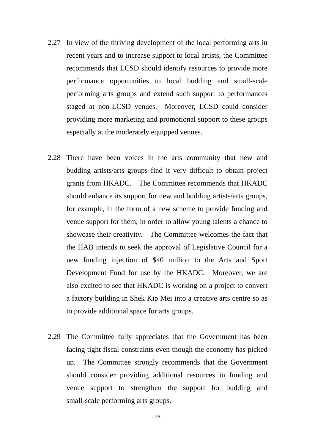- 2.27 In view of the thriving development of the local performing arts in recent years and to increase support to local artists, the Committee recommends that LCSD should identify resources to provide more performance opportunities to local budding and small-scale performing arts groups and extend such support to performances staged at non-LCSD venues. Moreover, LCSD could consider providing more marketing and promotional support to these groups especially at the moderately equipped venues.
- 2.28 There have been voices in the arts community that new and budding artists/arts groups find it very difficult to obtain project grants from HKADC. The Committee recommends that HKADC should enhance its support for new and budding artists/arts groups, for example, in the form of a new scheme to provide funding and venue support for them, in order to allow young talents a chance to showcase their creativity. The Committee welcomes the fact that the HAB intends to seek the approval of Legislative Council for a new funding injection of \$40 million to the Arts and Sport Development Fund for use by the HKADC. Moreover, we are also excited to see that HKADC is working on a project to convert a factory building in Shek Kip Mei into a creative arts centre so as to provide additional space for arts groups.
- 2.29 The Committee fully appreciates that the Government has been facing tight fiscal constraints even though the economy has picked up. The Committee strongly recommends that the Government should consider providing additional resources in funding and venue support to strengthen the support for budding and small-scale performing arts groups.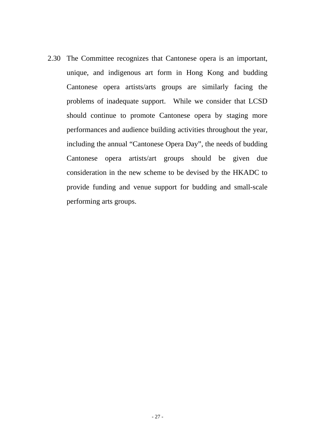2.30 The Committee recognizes that Cantonese opera is an important, unique, and indigenous art form in Hong Kong and budding Cantonese opera artists/arts groups are similarly facing the problems of inadequate support. While we consider that LCSD should continue to promote Cantonese opera by staging more performances and audience building activities throughout the year, including the annual "Cantonese Opera Day", the needs of budding Cantonese opera artists/art groups should be given due consideration in the new scheme to be devised by the HKADC to provide funding and venue support for budding and small-scale performing arts groups.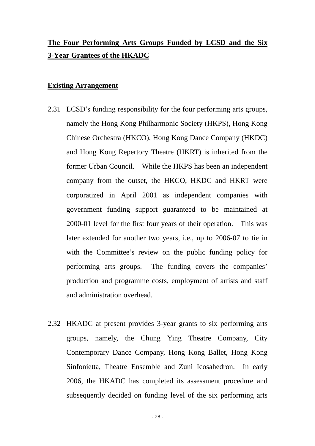# **The Four Performing Arts Groups Funded by LCSD and the Six 3-Year Grantees of the HKADC**

#### **Existing Arrangement**

- 2.31 LCSD's funding responsibility for the four performing arts groups, namely the Hong Kong Philharmonic Society (HKPS), Hong Kong Chinese Orchestra (HKCO), Hong Kong Dance Company (HKDC) and Hong Kong Repertory Theatre (HKRT) is inherited from the former Urban Council. While the HKPS has been an independent company from the outset, the HKCO, HKDC and HKRT were corporatized in April 2001 as independent companies with government funding support guaranteed to be maintained at 2000-01 level for the first four years of their operation. This was later extended for another two years, i.e., up to 2006-07 to tie in with the Committee's review on the public funding policy for performing arts groups. The funding covers the companies' production and programme costs, employment of artists and staff and administration overhead.
- 2.32 HKADC at present provides 3-year grants to six performing arts groups, namely, the Chung Ying Theatre Company, City Contemporary Dance Company, Hong Kong Ballet, Hong Kong Sinfonietta, Theatre Ensemble and Zuni Icosahedron. In early 2006, the HKADC has completed its assessment procedure and subsequently decided on funding level of the six performing arts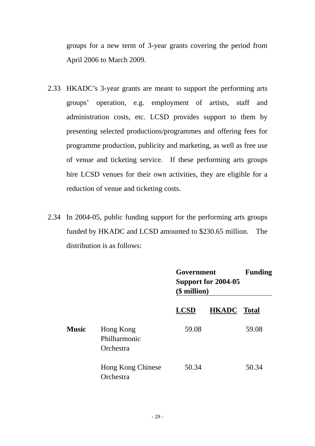groups for a new term of 3-year grants covering the period from April 2006 to March 2009.

- 2.33 HKADC's 3-year grants are meant to support the performing arts groups' operation, e.g. employment of artists, staff and administration costs, etc. LCSD provides support to them by presenting selected productions/programmes and offering fees for programme production, publicity and marketing, as well as free use of venue and ticketing service. If these performing arts groups hire LCSD venues for their own activities, they are eligible for a reduction of venue and ticketing costs.
- 2.34 In 2004-05, public funding support for the performing arts groups funded by HKADC and LCSD amounted to \$230.65 million. The distribution is as follows:

|              |                                        | Government<br>Support for 2004-05<br>$$$ million) |              | <b>Funding</b> |
|--------------|----------------------------------------|---------------------------------------------------|--------------|----------------|
|              |                                        | <b>LCSD</b>                                       | <b>HKADC</b> | <b>Total</b>   |
| <b>Music</b> | Hong Kong<br>Philharmonic<br>Orchestra | 59.08                                             |              | 59.08          |
|              | Hong Kong Chinese<br>Orchestra         | 50.34                                             |              | 50.34          |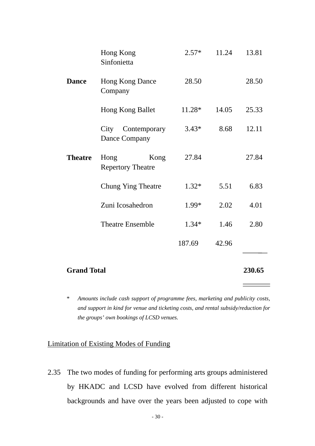|                    | Hong Kong<br>Sinfonietta                 | $2.57*$ | 11.24  | 13.81 |
|--------------------|------------------------------------------|---------|--------|-------|
| <b>Dance</b>       | Hong Kong Dance<br>Company               | 28.50   |        | 28.50 |
|                    | Hong Kong Ballet                         | 11.28*  | 14.05  | 25.33 |
|                    | City Contemporary<br>Dance Company       | $3.43*$ | 8.68   | 12.11 |
| <b>Theatre</b>     | Hong<br>Kong<br><b>Repertory Theatre</b> | 27.84   |        | 27.84 |
|                    | <b>Chung Ying Theatre</b>                | $1.32*$ | 5.51   | 6.83  |
|                    | Zuni Icosahedron                         | 1.99*   | 2.02   | 4.01  |
|                    | <b>Theatre Ensemble</b>                  | $1.34*$ | 1.46   | 2.80  |
|                    |                                          | 187.69  | 42.96  |       |
| <b>Grand Total</b> |                                          |         | 230.65 |       |

*\* Amounts include cash support of programme fees, marketing and publicity costs, and support in kind for venue and ticketing costs, and rental subsidy/reduction for the groups' own bookings of LCSD venues.* 

# Limitation of Existing Modes of Funding

2.35 The two modes of funding for performing arts groups administered by HKADC and LCSD have evolved from different historical backgrounds and have over the years been adjusted to cope with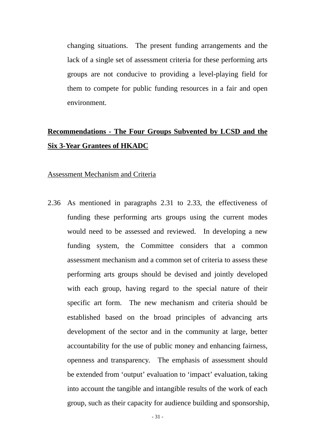changing situations. The present funding arrangements and the lack of a single set of assessment criteria for these performing arts groups are not conducive to providing a level-playing field for them to compete for public funding resources in a fair and open environment.

# **Recommendations - The Four Groups Subvented by LCSD and the Six 3-Year Grantees of HKADC**

#### Assessment Mechanism and Criteria

2.36 As mentioned in paragraphs 2.31 to 2.33, the effectiveness of funding these performing arts groups using the current modes would need to be assessed and reviewed. In developing a new funding system, the Committee considers that a common assessment mechanism and a common set of criteria to assess these performing arts groups should be devised and jointly developed with each group, having regard to the special nature of their specific art form. The new mechanism and criteria should be established based on the broad principles of advancing arts development of the sector and in the community at large, better accountability for the use of public money and enhancing fairness, openness and transparency. The emphasis of assessment should be extended from 'output' evaluation to 'impact' evaluation, taking into account the tangible and intangible results of the work of each group, such as their capacity for audience building and sponsorship,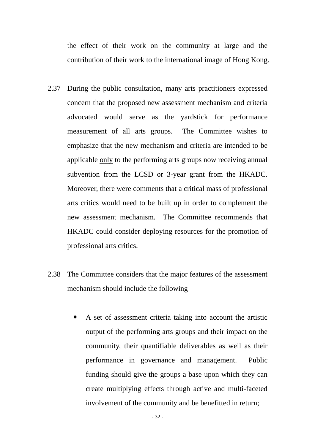the effect of their work on the community at large and the contribution of their work to the international image of Hong Kong.

- 2.37 During the public consultation, many arts practitioners expressed concern that the proposed new assessment mechanism and criteria advocated would serve as the yardstick for performance measurement of all arts groups. The Committee wishes to emphasize that the new mechanism and criteria are intended to be applicable only to the performing arts groups now receiving annual subvention from the LCSD or 3-year grant from the HKADC. Moreover, there were comments that a critical mass of professional arts critics would need to be built up in order to complement the new assessment mechanism. The Committee recommends that HKADC could consider deploying resources for the promotion of professional arts critics.
- 2.38 The Committee considers that the major features of the assessment mechanism should include the following –
	- A set of assessment criteria taking into account the artistic output of the performing arts groups and their impact on the community, their quantifiable deliverables as well as their performance in governance and management. Public funding should give the groups a base upon which they can create multiplying effects through active and multi-faceted involvement of the community and be benefitted in return;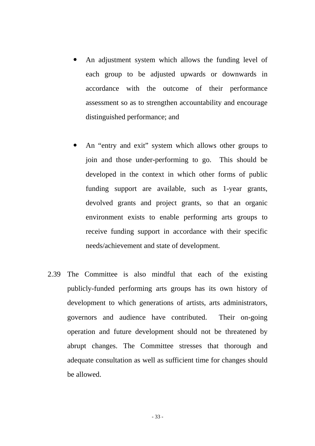- An adjustment system which allows the funding level of each group to be adjusted upwards or downwards in accordance with the outcome of their performance assessment so as to strengthen accountability and encourage distinguished performance; and
- An "entry and exit" system which allows other groups to join and those under-performing to go. This should be developed in the context in which other forms of public funding support are available, such as 1-year grants, devolved grants and project grants, so that an organic environment exists to enable performing arts groups to receive funding support in accordance with their specific needs/achievement and state of development.
- 2.39 The Committee is also mindful that each of the existing publicly-funded performing arts groups has its own history of development to which generations of artists, arts administrators, governors and audience have contributed. Their on-going operation and future development should not be threatened by abrupt changes. The Committee stresses that thorough and adequate consultation as well as sufficient time for changes should be allowed.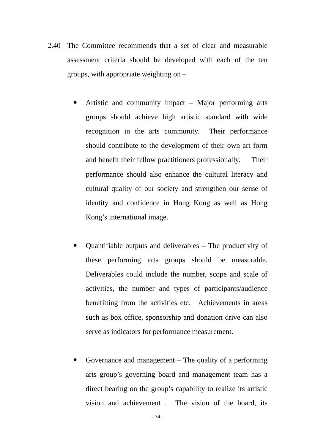- 2.40 The Committee recommends that a set of clear and measurable assessment criteria should be developed with each of the ten groups, with appropriate weighting on –
	- Artistic and community impact Major performing arts groups should achieve high artistic standard with wide recognition in the arts community. Their performance should contribute to the development of their own art form and benefit their fellow practitioners professionally. Their performance should also enhance the cultural literacy and cultural quality of our society and strengthen our sense of identity and confidence in Hong Kong as well as Hong Kong's international image.
	- Quantifiable outputs and deliverables The productivity of these performing arts groups should be measurable. Deliverables could include the number, scope and scale of activities, the number and types of participants/audience benefitting from the activities etc. Achievements in areas such as box office, sponsorship and donation drive can also serve as indicators for performance measurement.
	- Governance and management  $-$  The quality of a performing arts group's governing board and management team has a direct bearing on the group's capability to realize its artistic vision and achievement . The vision of the board, its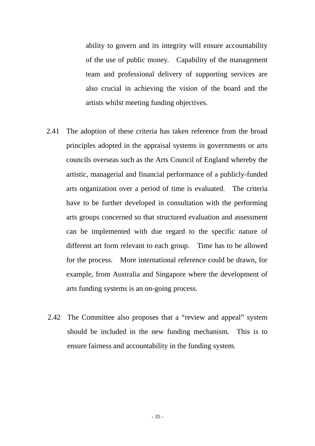ability to govern and its integrity will ensure accountability of the use of public money. Capability of the management team and professional delivery of supporting services are also crucial in achieving the vision of the board and the artists whilst meeting funding objectives.

- 2.41 The adoption of these criteria has taken reference from the broad principles adopted in the appraisal systems in governments or arts councils overseas such as the Arts Council of England whereby the artistic, managerial and financial performance of a publicly-funded arts organization over a period of time is evaluated. The criteria have to be further developed in consultation with the performing arts groups concerned so that structured evaluation and assessment can be implemented with due regard to the specific nature of different art form relevant to each group. Time has to be allowed for the process. More international reference could be drawn, for example, from Australia and Singapore where the development of arts funding systems is an on-going process.
- 2.42 The Committee also proposes that a "review and appeal" system should be included in the new funding mechanism. This is to ensure fairness and accountability in the funding system.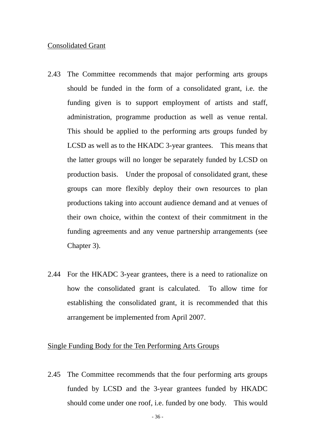#### Consolidated Grant

- 2.43 The Committee recommends that major performing arts groups should be funded in the form of a consolidated grant, i.e. the funding given is to support employment of artists and staff, administration, programme production as well as venue rental. This should be applied to the performing arts groups funded by LCSD as well as to the HKADC 3-year grantees. This means that the latter groups will no longer be separately funded by LCSD on production basis. Under the proposal of consolidated grant, these groups can more flexibly deploy their own resources to plan productions taking into account audience demand and at venues of their own choice, within the context of their commitment in the funding agreements and any venue partnership arrangements (see Chapter 3).
- 2.44 For the HKADC 3-year grantees, there is a need to rationalize on how the consolidated grant is calculated. To allow time for establishing the consolidated grant, it is recommended that this arrangement be implemented from April 2007.

#### Single Funding Body for the Ten Performing Arts Groups

2.45 The Committee recommends that the four performing arts groups funded by LCSD and the 3-year grantees funded by HKADC should come under one roof, i.e. funded by one body. This would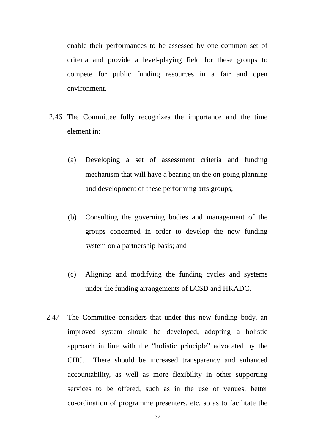enable their performances to be assessed by one common set of criteria and provide a level-playing field for these groups to compete for public funding resources in a fair and open environment.

- 2.46 The Committee fully recognizes the importance and the time element in:
	- (a) Developing a set of assessment criteria and funding mechanism that will have a bearing on the on-going planning and development of these performing arts groups;
	- (b) Consulting the governing bodies and management of the groups concerned in order to develop the new funding system on a partnership basis; and
	- (c) Aligning and modifying the funding cycles and systems under the funding arrangements of LCSD and HKADC.
- 2.47 The Committee considers that under this new funding body, an improved system should be developed, adopting a holistic approach in line with the "holistic principle" advocated by the CHC. There should be increased transparency and enhanced accountability, as well as more flexibility in other supporting services to be offered, such as in the use of venues, better co-ordination of programme presenters, etc. so as to facilitate the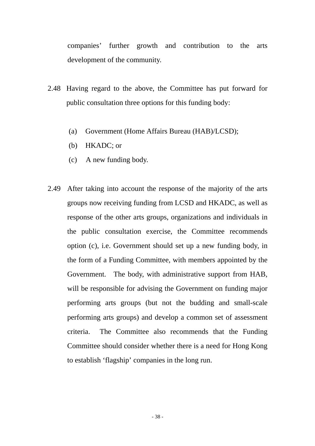companies' further growth and contribution to the arts development of the community.

- 2.48 Having regard to the above, the Committee has put forward for public consultation three options for this funding body:
	- (a) Government (Home Affairs Bureau (HAB)/LCSD);
	- (b) HKADC; or
	- (c) A new funding body.
- 2.49 After taking into account the response of the majority of the arts groups now receiving funding from LCSD and HKADC, as well as response of the other arts groups, organizations and individuals in the public consultation exercise, the Committee recommends option (c), i.e. Government should set up a new funding body, in the form of a Funding Committee, with members appointed by the Government. The body, with administrative support from HAB, will be responsible for advising the Government on funding major performing arts groups (but not the budding and small-scale performing arts groups) and develop a common set of assessment criteria. The Committee also recommends that the Funding Committee should consider whether there is a need for Hong Kong to establish 'flagship' companies in the long run.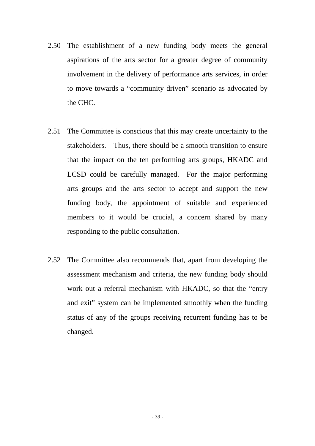- 2.50 The establishment of a new funding body meets the general aspirations of the arts sector for a greater degree of community involvement in the delivery of performance arts services, in order to move towards a "community driven" scenario as advocated by the CHC.
- 2.51 The Committee is conscious that this may create uncertainty to the stakeholders. Thus, there should be a smooth transition to ensure that the impact on the ten performing arts groups, HKADC and LCSD could be carefully managed. For the major performing arts groups and the arts sector to accept and support the new funding body, the appointment of suitable and experienced members to it would be crucial, a concern shared by many responding to the public consultation.
- 2.52 The Committee also recommends that, apart from developing the assessment mechanism and criteria, the new funding body should work out a referral mechanism with HKADC, so that the "entry and exit" system can be implemented smoothly when the funding status of any of the groups receiving recurrent funding has to be changed.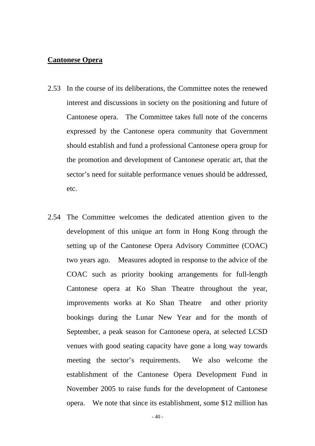#### **Cantonese Opera**

- 2.53 In the course of its deliberations, the Committee notes the renewed interest and discussions in society on the positioning and future of Cantonese opera. The Committee takes full note of the concerns expressed by the Cantonese opera community that Government should establish and fund a professional Cantonese opera group for the promotion and development of Cantonese operatic art, that the sector's need for suitable performance venues should be addressed, etc.
- 2.54 The Committee welcomes the dedicated attention given to the development of this unique art form in Hong Kong through the setting up of the Cantonese Opera Advisory Committee (COAC) two years ago. Measures adopted in response to the advice of the COAC such as priority booking arrangements for full-length Cantonese opera at Ko Shan Theatre throughout the year, improvements works at Ko Shan Theatre and other priority bookings during the Lunar New Year and for the month of September, a peak season for Cantonese opera, at selected LCSD venues with good seating capacity have gone a long way towards meeting the sector's requirements. We also welcome the establishment of the Cantonese Opera Development Fund in November 2005 to raise funds for the development of Cantonese opera. We note that since its establishment, some \$12 million has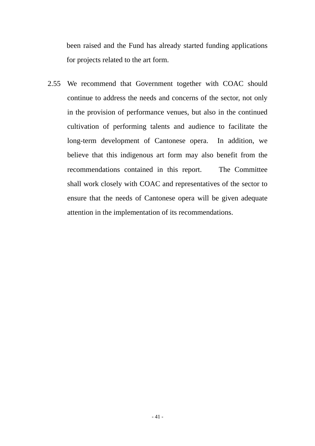been raised and the Fund has already started funding applications for projects related to the art form.

2.55 We recommend that Government together with COAC should continue to address the needs and concerns of the sector, not only in the provision of performance venues, but also in the continued cultivation of performing talents and audience to facilitate the long-term development of Cantonese opera. In addition, we believe that this indigenous art form may also benefit from the recommendations contained in this report. The Committee shall work closely with COAC and representatives of the sector to ensure that the needs of Cantonese opera will be given adequate attention in the implementation of its recommendations.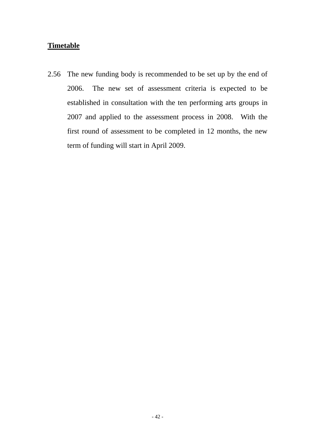# **Timetable**

2.56 The new funding body is recommended to be set up by the end of 2006. The new set of assessment criteria is expected to be established in consultation with the ten performing arts groups in 2007 and applied to the assessment process in 2008. With the first round of assessment to be completed in 12 months, the new term of funding will start in April 2009.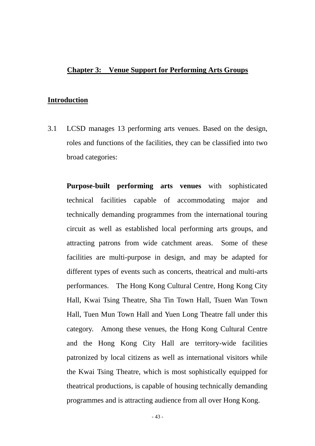## **Chapter 3: Venue Support for Performing Arts Groups**

#### **Introduction**

3.1 LCSD manages 13 performing arts venues. Based on the design, roles and functions of the facilities, they can be classified into two broad categories:

**Purpose-built performing arts venues** with sophisticated technical facilities capable of accommodating major and technically demanding programmes from the international touring circuit as well as established local performing arts groups, and attracting patrons from wide catchment areas. Some of these facilities are multi-purpose in design, and may be adapted for different types of events such as concerts, theatrical and multi-arts performances. The Hong Kong Cultural Centre, Hong Kong City Hall, Kwai Tsing Theatre, Sha Tin Town Hall, Tsuen Wan Town Hall, Tuen Mun Town Hall and Yuen Long Theatre fall under this category. Among these venues, the Hong Kong Cultural Centre and the Hong Kong City Hall are territory-wide facilities patronized by local citizens as well as international visitors while the Kwai Tsing Theatre, which is most sophistically equipped for theatrical productions, is capable of housing technically demanding programmes and is attracting audience from all over Hong Kong.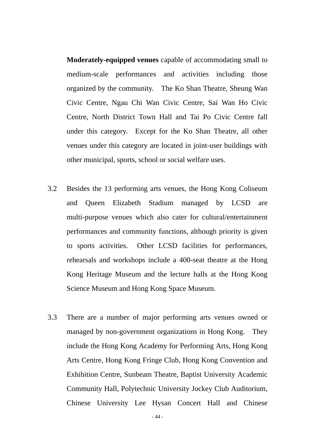**Moderately-equipped venues** capable of accommodating small to medium-scale performances and activities including those organized by the community. The Ko Shan Theatre, Sheung Wan Civic Centre, Ngau Chi Wan Civic Centre, Sai Wan Ho Civic Centre, North District Town Hall and Tai Po Civic Centre fall under this category. Except for the Ko Shan Theatre, all other venues under this category are located in joint-user buildings with other municipal, sports, school or social welfare uses.

- 3.2 Besides the 13 performing arts venues, the Hong Kong Coliseum and Queen Elizabeth Stadium managed by LCSD are multi-purpose venues which also cater for cultural/entertainment performances and community functions, although priority is given to sports activities. Other LCSD facilities for performances, rehearsals and workshops include a 400-seat theatre at the Hong Kong Heritage Museum and the lecture halls at the Hong Kong Science Museum and Hong Kong Space Museum.
- 3.3 There are a number of major performing arts venues owned or managed by non-government organizations in Hong Kong. They include the Hong Kong Academy for Performing Arts, Hong Kong Arts Centre, Hong Kong Fringe Club, Hong Kong Convention and Exhibition Centre, Sunbeam Theatre, Baptist University Academic Community Hall, Polytechnic University Jockey Club Auditorium, Chinese University Lee Hysan Concert Hall and Chinese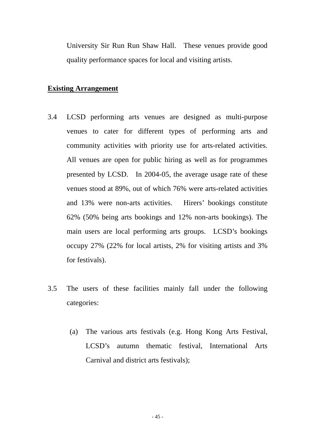University Sir Run Run Shaw Hall. These venues provide good quality performance spaces for local and visiting artists.

## **Existing Arrangement**

- 3.4 LCSD performing arts venues are designed as multi-purpose venues to cater for different types of performing arts and community activities with priority use for arts-related activities. All venues are open for public hiring as well as for programmes presented by LCSD. In 2004-05, the average usage rate of these venues stood at 89%, out of which 76% were arts-related activities and 13% were non-arts activities. Hirers' bookings constitute 62% (50% being arts bookings and 12% non-arts bookings). The main users are local performing arts groups. LCSD's bookings occupy 27% (22% for local artists, 2% for visiting artists and 3% for festivals).
- 3.5 The users of these facilities mainly fall under the following categories:
	- (a) The various arts festivals (e.g. Hong Kong Arts Festival, LCSD's autumn thematic festival, International Arts Carnival and district arts festivals);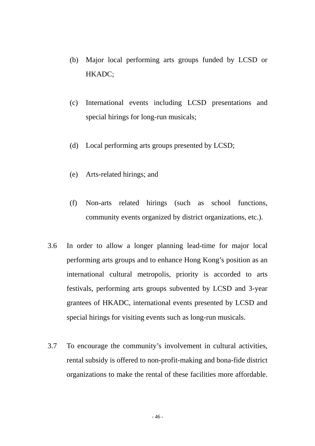- (b) Major local performing arts groups funded by LCSD or HKADC;
- (c) International events including LCSD presentations and special hirings for long-run musicals;
- (d) Local performing arts groups presented by LCSD;
- (e) Arts-related hirings; and
- (f) Non-arts related hirings (such as school functions, community events organized by district organizations, etc.).
- 3.6 In order to allow a longer planning lead-time for major local performing arts groups and to enhance Hong Kong's position as an international cultural metropolis, priority is accorded to arts festivals, performing arts groups subvented by LCSD and 3-year grantees of HKADC, international events presented by LCSD and special hirings for visiting events such as long-run musicals.
- 3.7 To encourage the community's involvement in cultural activities, rental subsidy is offered to non-profit-making and bona-fide district organizations to make the rental of these facilities more affordable.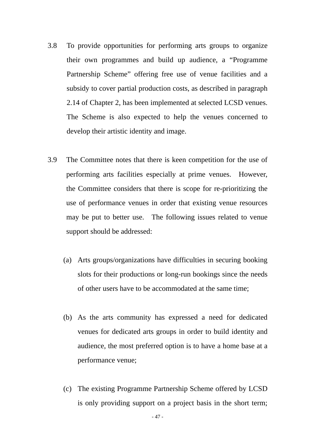- 3.8 To provide opportunities for performing arts groups to organize their own programmes and build up audience, a "Programme Partnership Scheme" offering free use of venue facilities and a subsidy to cover partial production costs, as described in paragraph 2.14 of Chapter 2, has been implemented at selected LCSD venues. The Scheme is also expected to help the venues concerned to develop their artistic identity and image.
- 3.9 The Committee notes that there is keen competition for the use of performing arts facilities especially at prime venues. However, the Committee considers that there is scope for re-prioritizing the use of performance venues in order that existing venue resources may be put to better use. The following issues related to venue support should be addressed:
	- (a) Arts groups/organizations have difficulties in securing booking slots for their productions or long-run bookings since the needs of other users have to be accommodated at the same time;
	- (b) As the arts community has expressed a need for dedicated venues for dedicated arts groups in order to build identity and audience, the most preferred option is to have a home base at a performance venue;
	- (c) The existing Programme Partnership Scheme offered by LCSD is only providing support on a project basis in the short term;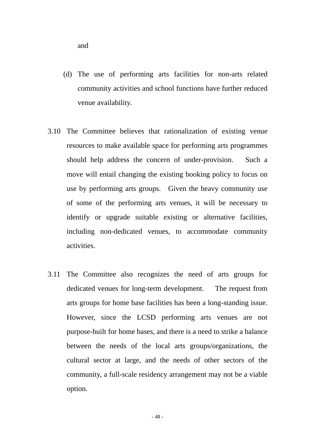(d) The use of performing arts facilities for non-arts related community activities and school functions have further reduced venue availability.

- 3.10 The Committee believes that rationalization of existing venue resources to make available space for performing arts programmes should help address the concern of under-provision. Such a move will entail changing the existing booking policy to focus on use by performing arts groups. Given the heavy community use of some of the performing arts venues, it will be necessary to identify or upgrade suitable existing or alternative facilities, including non-dedicated venues, to accommodate community activities.
- 3.11 The Committee also recognizes the need of arts groups for dedicated venues for long-term development. The request from arts groups for home base facilities has been a long-standing issue. However, since the LCSD performing arts venues are not purpose-built for home bases, and there is a need to strike a balance between the needs of the local arts groups/organizations, the cultural sector at large, and the needs of other sectors of the community, a full-scale residency arrangement may not be a viable option.

and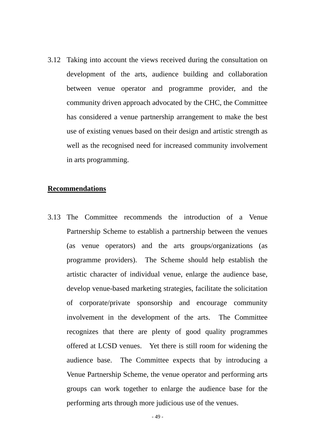3.12 Taking into account the views received during the consultation on development of the arts, audience building and collaboration between venue operator and programme provider, and the community driven approach advocated by the CHC, the Committee has considered a venue partnership arrangement to make the best use of existing venues based on their design and artistic strength as well as the recognised need for increased community involvement in arts programming.

#### **Recommendations**

3.13 The Committee recommends the introduction of a Venue Partnership Scheme to establish a partnership between the venues (as venue operators) and the arts groups/organizations (as programme providers). The Scheme should help establish the artistic character of individual venue, enlarge the audience base, develop venue-based marketing strategies, facilitate the solicitation of corporate/private sponsorship and encourage community involvement in the development of the arts. The Committee recognizes that there are plenty of good quality programmes offered at LCSD venues. Yet there is still room for widening the audience base. The Committee expects that by introducing a Venue Partnership Scheme, the venue operator and performing arts groups can work together to enlarge the audience base for the performing arts through more judicious use of the venues.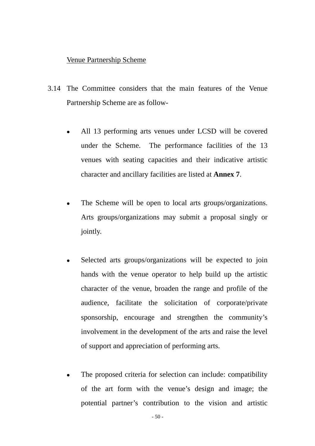#### Venue Partnership Scheme

- 3.14 The Committee considers that the main features of the Venue Partnership Scheme are as follow-
	- All 13 performing arts venues under LCSD will be covered under the Scheme. The performance facilities of the 13 venues with seating capacities and their indicative artistic character and ancillary facilities are listed at **Annex 7**.
	- The Scheme will be open to local arts groups/organizations. Arts groups/organizations may submit a proposal singly or jointly.
	- Selected arts groups/organizations will be expected to join hands with the venue operator to help build up the artistic character of the venue, broaden the range and profile of the audience, facilitate the solicitation of corporate/private sponsorship, encourage and strengthen the community's involvement in the development of the arts and raise the level of support and appreciation of performing arts.
	- The proposed criteria for selection can include: compatibility of the art form with the venue's design and image; the potential partner's contribution to the vision and artistic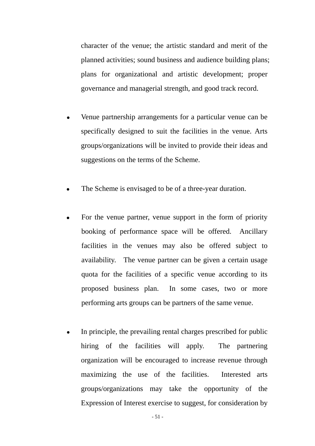character of the venue; the artistic standard and merit of the planned activities; sound business and audience building plans; plans for organizational and artistic development; proper governance and managerial strength, and good track record.

- Venue partnership arrangements for a particular venue can be specifically designed to suit the facilities in the venue. Arts groups/organizations will be invited to provide their ideas and suggestions on the terms of the Scheme.
- The Scheme is envisaged to be of a three-year duration.
- For the venue partner, venue support in the form of priority booking of performance space will be offered. Ancillary facilities in the venues may also be offered subject to availability. The venue partner can be given a certain usage quota for the facilities of a specific venue according to its proposed business plan. In some cases, two or more performing arts groups can be partners of the same venue.
- In principle, the prevailing rental charges prescribed for public hiring of the facilities will apply. The partnering organization will be encouraged to increase revenue through maximizing the use of the facilities. Interested arts groups/organizations may take the opportunity of the Expression of Interest exercise to suggest, for consideration by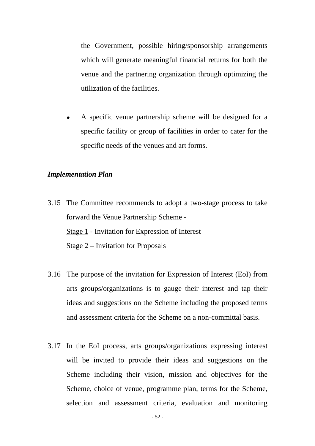the Government, possible hiring/sponsorship arrangements which will generate meaningful financial returns for both the venue and the partnering organization through optimizing the utilization of the facilities.

A specific venue partnership scheme will be designed for a specific facility or group of facilities in order to cater for the specific needs of the venues and art forms.

#### *Implementation Plan*

- 3.15 The Committee recommends to adopt a two-stage process to take forward the Venue Partnership Scheme - Stage 1 - Invitation for Expression of Interest Stage 2 – Invitation for Proposals
- 3.16 The purpose of the invitation for Expression of Interest (EoI) from arts groups/organizations is to gauge their interest and tap their ideas and suggestions on the Scheme including the proposed terms and assessment criteria for the Scheme on a non-committal basis.
- 3.17 In the EoI process, arts groups/organizations expressing interest will be invited to provide their ideas and suggestions on the Scheme including their vision, mission and objectives for the Scheme, choice of venue, programme plan, terms for the Scheme, selection and assessment criteria, evaluation and monitoring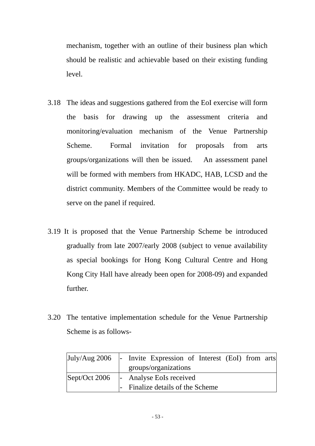mechanism, together with an outline of their business plan which should be realistic and achievable based on their existing funding level.

- 3.18 The ideas and suggestions gathered from the EoI exercise will form the basis for drawing up the assessment criteria and monitoring/evaluation mechanism of the Venue Partnership Scheme. Formal invitation for proposals from arts groups/organizations will then be issued. An assessment panel will be formed with members from HKADC, HAB, LCSD and the district community. Members of the Committee would be ready to serve on the panel if required.
- 3.19 It is proposed that the Venue Partnership Scheme be introduced gradually from late 2007/early 2008 (subject to venue availability as special bookings for Hong Kong Cultural Centre and Hong Kong City Hall have already been open for 2008-09) and expanded further.
- 3.20 The tentative implementation schedule for the Venue Partnership Scheme is as follows-

| $July/Aug\ 2006$              | - Invite Expression of Interest (EoI) from arts |
|-------------------------------|-------------------------------------------------|
|                               | groups/organizations                            |
| $\text{Sept}/\text{Oct}$ 2006 | - Analyse EoIs received                         |
|                               | - Finalize details of the Scheme                |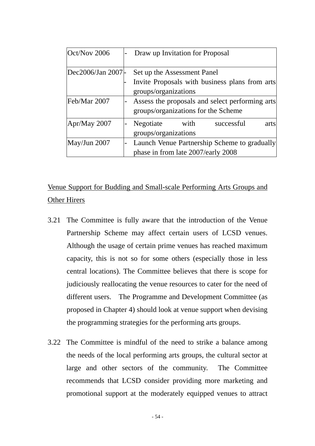| Oct/Nov 2006     | Draw up Invitation for Proposal                 |
|------------------|-------------------------------------------------|
| Dec2006/Jan 2007 | Set up the Assessment Panel                     |
|                  |                                                 |
|                  | Invite Proposals with business plans from arts  |
|                  | groups/organizations                            |
| Feb/Mar 2007     | Assess the proposals and select performing arts |
|                  | groups/organizations for the Scheme             |
| Apr/May 2007     | Negotiate<br>with<br>successful<br>arts         |
|                  | groups/organizations                            |
| May/Jun 2007     | Launch Venue Partnership Scheme to gradually    |
|                  | phase in from late 2007/early 2008              |

Venue Support for Budding and Small-scale Performing Arts Groups and Other Hirers

- 3.21 The Committee is fully aware that the introduction of the Venue Partnership Scheme may affect certain users of LCSD venues. Although the usage of certain prime venues has reached maximum capacity, this is not so for some others (especially those in less central locations). The Committee believes that there is scope for judiciously reallocating the venue resources to cater for the need of different users. The Programme and Development Committee (as proposed in Chapter 4) should look at venue support when devising the programming strategies for the performing arts groups.
- 3.22 The Committee is mindful of the need to strike a balance among the needs of the local performing arts groups, the cultural sector at large and other sectors of the community. The Committee recommends that LCSD consider providing more marketing and promotional support at the moderately equipped venues to attract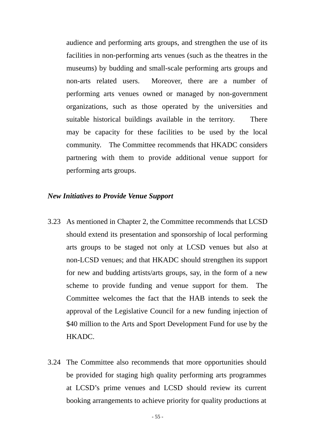audience and performing arts groups, and strengthen the use of its facilities in non-performing arts venues (such as the theatres in the museums) by budding and small-scale performing arts groups and non-arts related users. Moreover, there are a number of performing arts venues owned or managed by non-government organizations, such as those operated by the universities and suitable historical buildings available in the territory. There may be capacity for these facilities to be used by the local community. The Committee recommends that HKADC considers partnering with them to provide additional venue support for performing arts groups.

## *New Initiatives to Provide Venue Support*

- 3.23 As mentioned in Chapter 2, the Committee recommends that LCSD should extend its presentation and sponsorship of local performing arts groups to be staged not only at LCSD venues but also at non-LCSD venues; and that HKADC should strengthen its support for new and budding artists/arts groups, say, in the form of a new scheme to provide funding and venue support for them. The Committee welcomes the fact that the HAB intends to seek the approval of the Legislative Council for a new funding injection of \$40 million to the Arts and Sport Development Fund for use by the HKADC.
- 3.24 The Committee also recommends that more opportunities should be provided for staging high quality performing arts programmes at LCSD's prime venues and LCSD should review its current booking arrangements to achieve priority for quality productions at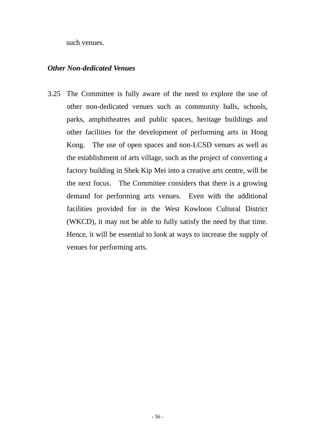such venues.

## *Other Non-dedicated Venues*

3.25 The Committee is fully aware of the need to explore the use of other non-dedicated venues such as community halls, schools, parks, amphitheatres and public spaces, heritage buildings and other facilities for the development of performing arts in Hong Kong. The use of open spaces and non-LCSD venues as well as the establishment of arts village, such as the project of converting a factory building in Shek Kip Mei into a creative arts centre, will be the next focus. The Committee considers that there is a growing demand for performing arts venues. Even with the additional facilities provided for in the West Kowloon Cultural District (WKCD), it may not be able to fully satisfy the need by that time. Hence, it will be essential to look at ways to increase the supply of venues for performing arts.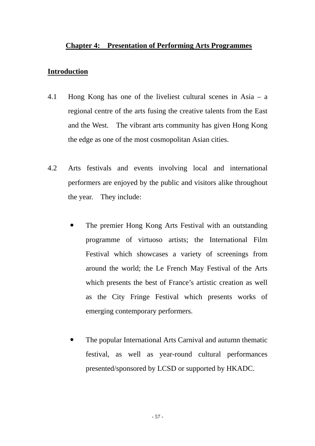## **Chapter 4: Presentation of Performing Arts Programmes**

#### **Introduction**

- 4.1 Hong Kong has one of the liveliest cultural scenes in Asia a regional centre of the arts fusing the creative talents from the East and the West. The vibrant arts community has given Hong Kong the edge as one of the most cosmopolitan Asian cities.
- 4.2 Arts festivals and events involving local and international performers are enjoyed by the public and visitors alike throughout the year. They include:
	- The premier Hong Kong Arts Festival with an outstanding programme of virtuoso artists; the International Film Festival which showcases a variety of screenings from around the world; the Le French May Festival of the Arts which presents the best of France's artistic creation as well as the City Fringe Festival which presents works of emerging contemporary performers.
	- The popular International Arts Carnival and autumn thematic festival, as well as year-round cultural performances presented/sponsored by LCSD or supported by HKADC.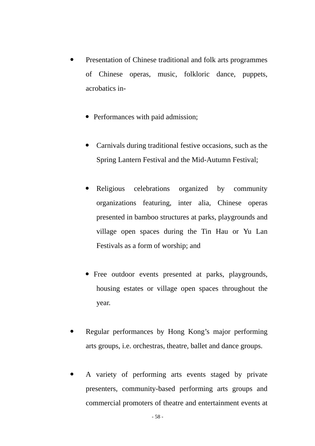- Presentation of Chinese traditional and folk arts programmes of Chinese operas, music, folkloric dance, puppets, acrobatics in-
	- Performances with paid admission;
	- Carnivals during traditional festive occasions, such as the Spring Lantern Festival and the Mid-Autumn Festival;
	- Religious celebrations organized by community organizations featuring, inter alia, Chinese operas presented in bamboo structures at parks, playgrounds and village open spaces during the Tin Hau or Yu Lan Festivals as a form of worship; and
	- Free outdoor events presented at parks, playgrounds, housing estates or village open spaces throughout the year.
- Regular performances by Hong Kong's major performing arts groups, i.e. orchestras, theatre, ballet and dance groups.
- A variety of performing arts events staged by private presenters, community-based performing arts groups and commercial promoters of theatre and entertainment events at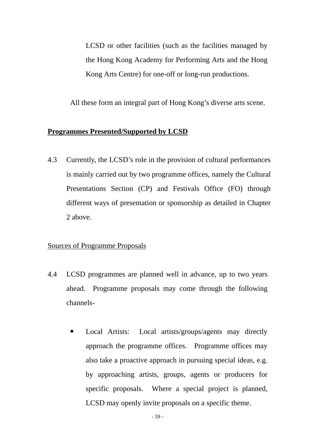LCSD or other facilities (such as the facilities managed by the Hong Kong Academy for Performing Arts and the Hong Kong Arts Centre) for one-off or long-run productions.

All these form an integral part of Hong Kong's diverse arts scene.

#### **Programmes Presented/Supported by LCSD**

4.3 Currently, the LCSD's role in the provision of cultural performances is mainly carried out by two programme offices, namely the Cultural Presentations Section (CP) and Festivals Office (FO) through different ways of presentation or sponsorship as detailed in Chapter 2 above.

## Sources of Programme Proposals

- 4.4 LCSD programmes are planned well in advance, up to two years ahead. Programme proposals may come through the following channels-
	- Local Artists: Local artists/groups/agents may directly approach the programme offices. Programme offices may also take a proactive approach in pursuing special ideas, e.g. by approaching artists, groups, agents or producers for specific proposals. Where a special project is planned, LCSD may openly invite proposals on a specific theme.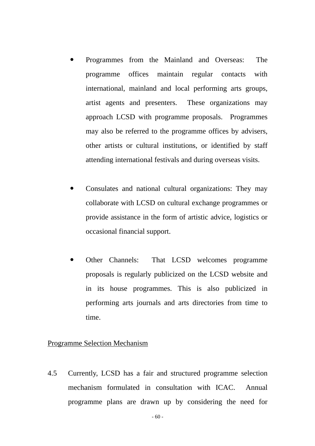- Programmes from the Mainland and Overseas: The programme offices maintain regular contacts with international, mainland and local performing arts groups, artist agents and presenters. These organizations may approach LCSD with programme proposals. Programmes may also be referred to the programme offices by advisers, other artists or cultural institutions, or identified by staff attending international festivals and during overseas visits.
- Consulates and national cultural organizations: They may collaborate with LCSD on cultural exchange programmes or provide assistance in the form of artistic advice, logistics or occasional financial support.
- Other Channels: That LCSD welcomes programme proposals is regularly publicized on the LCSD website and in its house programmes. This is also publicized in performing arts journals and arts directories from time to time.

#### Programme Selection Mechanism

4.5 Currently, LCSD has a fair and structured programme selection mechanism formulated in consultation with ICAC. Annual programme plans are drawn up by considering the need for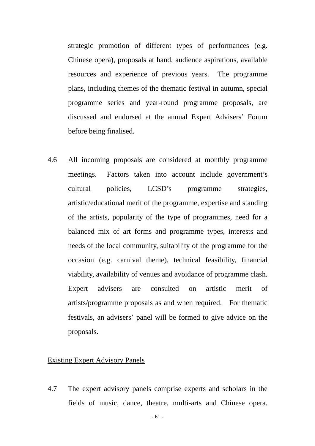strategic promotion of different types of performances (e.g. Chinese opera), proposals at hand, audience aspirations, available resources and experience of previous years. The programme plans, including themes of the thematic festival in autumn, special programme series and year-round programme proposals, are discussed and endorsed at the annual Expert Advisers' Forum before being finalised.

4.6 All incoming proposals are considered at monthly programme meetings. Factors taken into account include government's cultural policies, LCSD's programme strategies, artistic/educational merit of the programme, expertise and standing of the artists, popularity of the type of programmes, need for a balanced mix of art forms and programme types, interests and needs of the local community, suitability of the programme for the occasion (e.g. carnival theme), technical feasibility, financial viability, availability of venues and avoidance of programme clash. Expert advisers are consulted on artistic merit of artists/programme proposals as and when required. For thematic festivals, an advisers' panel will be formed to give advice on the proposals.

### Existing Expert Advisory Panels

4.7 The expert advisory panels comprise experts and scholars in the fields of music, dance, theatre, multi-arts and Chinese opera.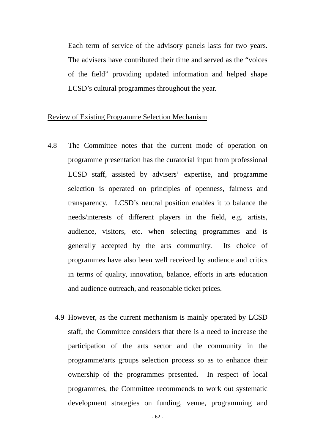Each term of service of the advisory panels lasts for two years. The advisers have contributed their time and served as the "voices of the field" providing updated information and helped shape LCSD's cultural programmes throughout the year.

#### Review of Existing Programme Selection Mechanism

- 4.8 The Committee notes that the current mode of operation on programme presentation has the curatorial input from professional LCSD staff, assisted by advisers' expertise, and programme selection is operated on principles of openness, fairness and transparency. LCSD's neutral position enables it to balance the needs/interests of different players in the field, e.g. artists, audience, visitors, etc. when selecting programmes and is generally accepted by the arts community. Its choice of programmes have also been well received by audience and critics in terms of quality, innovation, balance, efforts in arts education and audience outreach, and reasonable ticket prices.
	- 4.9 However, as the current mechanism is mainly operated by LCSD staff, the Committee considers that there is a need to increase the participation of the arts sector and the community in the programme/arts groups selection process so as to enhance their ownership of the programmes presented. In respect of local programmes, the Committee recommends to work out systematic development strategies on funding, venue, programming and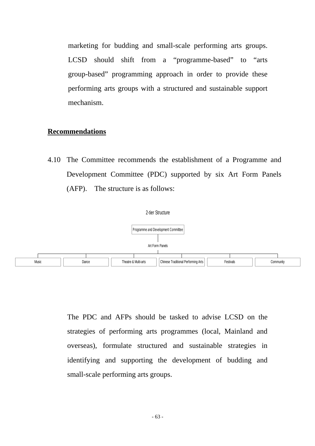marketing for budding and small-scale performing arts groups. LCSD should shift from a "programme-based" to "arts group-based" programming approach in order to provide these performing arts groups with a structured and sustainable support mechanism.

#### **Recommendations**

4.10 The Committee recommends the establishment of a Programme and Development Committee (PDC) supported by six Art Form Panels (AFP). The structure is as follows:





The PDC and AFPs should be tasked to advise LCSD on the strategies of performing arts programmes (local, Mainland and overseas), formulate structured and sustainable strategies in identifying and supporting the development of budding and small-scale performing arts groups.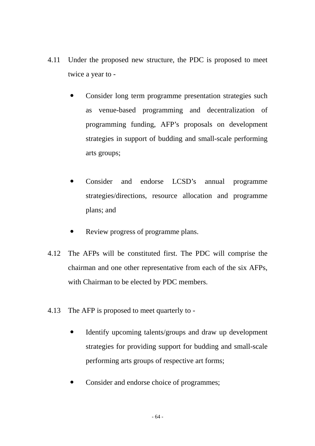- 4.11 Under the proposed new structure, the PDC is proposed to meet twice a year to -
	- Consider long term programme presentation strategies such as venue-based programming and decentralization of programming funding, AFP's proposals on development strategies in support of budding and small-scale performing arts groups;
	- Consider and endorse LCSD's annual programme strategies/directions, resource allocation and programme plans; and
	- Review progress of programme plans.
- 4.12 The AFPs will be constituted first. The PDC will comprise the chairman and one other representative from each of the six AFPs, with Chairman to be elected by PDC members.
- 4.13 The AFP is proposed to meet quarterly to
	- Identify upcoming talents/groups and draw up development strategies for providing support for budding and small-scale performing arts groups of respective art forms;
	- Consider and endorse choice of programmes;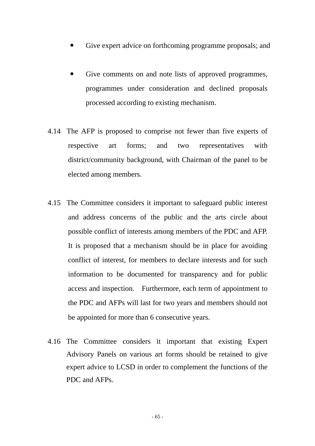- Give expert advice on forthcoming programme proposals; and
- Give comments on and note lists of approved programmes, programmes under consideration and declined proposals processed according to existing mechanism.
- 4.14 The AFP is proposed to comprise not fewer than five experts of respective art forms; and two representatives with district/community background, with Chairman of the panel to be elected among members.
- 4.15 The Committee considers it important to safeguard public interest and address concerns of the public and the arts circle about possible conflict of interests among members of the PDC and AFP. It is proposed that a mechanism should be in place for avoiding conflict of interest, for members to declare interests and for such information to be documented for transparency and for public access and inspection. Furthermore, each term of appointment to the PDC and AFPs will last for two years and members should not be appointed for more than 6 consecutive years.
- 4.16 The Committee considers it important that existing Expert Advisory Panels on various art forms should be retained to give expert advice to LCSD in order to complement the functions of the PDC and AFPs.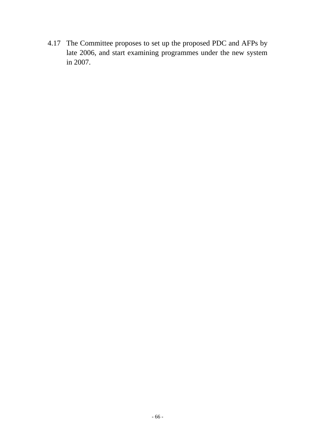4.17 The Committee proposes to set up the proposed PDC and AFPs by late 2006, and start examining programmes under the new system in 2007.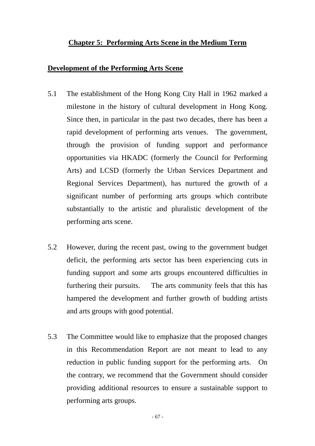## **Chapter 5: Performing Arts Scene in the Medium Term**

### **Development of the Performing Arts Scene**

- 5.1 The establishment of the Hong Kong City Hall in 1962 marked a milestone in the history of cultural development in Hong Kong. Since then, in particular in the past two decades, there has been a rapid development of performing arts venues. The government, through the provision of funding support and performance opportunities via HKADC (formerly the Council for Performing Arts) and LCSD (formerly the Urban Services Department and Regional Services Department), has nurtured the growth of a significant number of performing arts groups which contribute substantially to the artistic and pluralistic development of the performing arts scene.
- 5.2 However, during the recent past, owing to the government budget deficit, the performing arts sector has been experiencing cuts in funding support and some arts groups encountered difficulties in furthering their pursuits. The arts community feels that this has hampered the development and further growth of budding artists and arts groups with good potential.
- 5.3 The Committee would like to emphasize that the proposed changes in this Recommendation Report are not meant to lead to any reduction in public funding support for the performing arts. On the contrary, we recommend that the Government should consider providing additional resources to ensure a sustainable support to performing arts groups.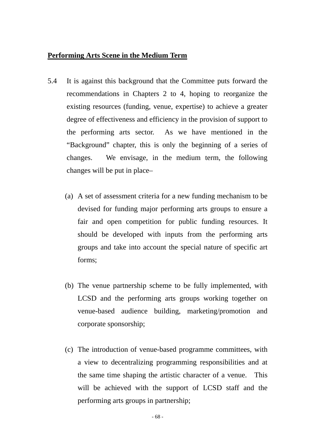## **Performing Arts Scene in the Medium Term**

- 5.4 It is against this background that the Committee puts forward the recommendations in Chapters 2 to 4, hoping to reorganize the existing resources (funding, venue, expertise) to achieve a greater degree of effectiveness and efficiency in the provision of support to the performing arts sector. As we have mentioned in the "Background" chapter, this is only the beginning of a series of changes. We envisage, in the medium term, the following changes will be put in place–
	- (a) A set of assessment criteria for a new funding mechanism to be devised for funding major performing arts groups to ensure a fair and open competition for public funding resources. It should be developed with inputs from the performing arts groups and take into account the special nature of specific art forms;
	- (b) The venue partnership scheme to be fully implemented, with LCSD and the performing arts groups working together on venue-based audience building, marketing/promotion and corporate sponsorship;
	- (c) The introduction of venue-based programme committees, with a view to decentralizing programming responsibilities and at the same time shaping the artistic character of a venue. This will be achieved with the support of LCSD staff and the performing arts groups in partnership;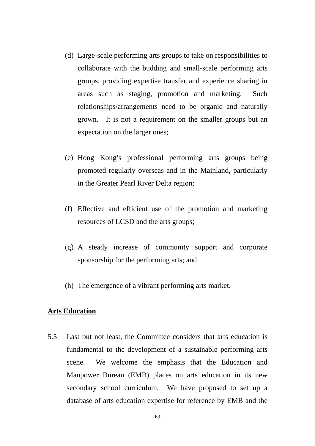- (d) Large-scale performing arts groups to take on responsibilities to collaborate with the budding and small-scale performing arts groups, providing expertise transfer and experience sharing in areas such as staging, promotion and marketing. Such relationships/arrangements need to be organic and naturally grown. It is not a requirement on the smaller groups but an expectation on the larger ones;
- (e) Hong Kong's professional performing arts groups being promoted regularly overseas and in the Mainland, particularly in the Greater Pearl River Delta region;
- (f) Effective and efficient use of the promotion and marketing resources of LCSD and the arts groups;
- (g) A steady increase of community support and corporate sponsorship for the performing arts; and
- (h) The emergence of a vibrant performing arts market.

### **Arts Education**

5.5 Last but not least, the Committee considers that arts education is fundamental to the development of a sustainable performing arts scene. We welcome the emphasis that the Education and Manpower Bureau (EMB) places on arts education in its new secondary school curriculum. We have proposed to set up a database of arts education expertise for reference by EMB and the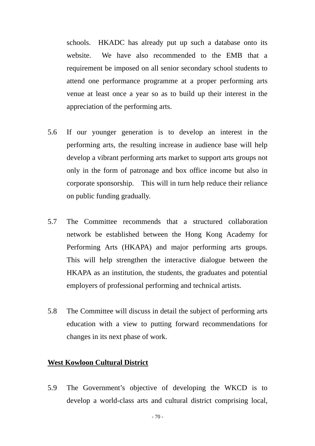schools. HKADC has already put up such a database onto its website. We have also recommended to the EMB that a requirement be imposed on all senior secondary school students to attend one performance programme at a proper performing arts venue at least once a year so as to build up their interest in the appreciation of the performing arts.

- 5.6 If our younger generation is to develop an interest in the performing arts, the resulting increase in audience base will help develop a vibrant performing arts market to support arts groups not only in the form of patronage and box office income but also in corporate sponsorship. This will in turn help reduce their reliance on public funding gradually.
- 5.7 The Committee recommends that a structured collaboration network be established between the Hong Kong Academy for Performing Arts (HKAPA) and major performing arts groups. This will help strengthen the interactive dialogue between the HKAPA as an institution, the students, the graduates and potential employers of professional performing and technical artists.
- 5.8 The Committee will discuss in detail the subject of performing arts education with a view to putting forward recommendations for changes in its next phase of work.

## **West Kowloon Cultural District**

5.9 The Government's objective of developing the WKCD is to develop a world-class arts and cultural district comprising local,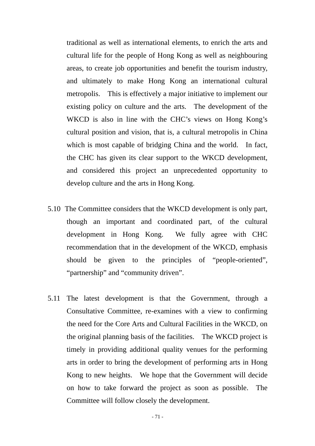traditional as well as international elements, to enrich the arts and cultural life for the people of Hong Kong as well as neighbouring areas, to create job opportunities and benefit the tourism industry, and ultimately to make Hong Kong an international cultural metropolis. This is effectively a major initiative to implement our existing policy on culture and the arts. The development of the WKCD is also in line with the CHC's views on Hong Kong's cultural position and vision, that is, a cultural metropolis in China which is most capable of bridging China and the world. In fact, the CHC has given its clear support to the WKCD development, and considered this project an unprecedented opportunity to develop culture and the arts in Hong Kong.

- 5.10 The Committee considers that the WKCD development is only part, though an important and coordinated part, of the cultural development in Hong Kong. We fully agree with CHC recommendation that in the development of the WKCD, emphasis should be given to the principles of "people-oriented", "partnership" and "community driven".
- 5.11 The latest development is that the Government, through a Consultative Committee, re-examines with a view to confirming the need for the Core Arts and Cultural Facilities in the WKCD, on the original planning basis of the facilities. The WKCD project is timely in providing additional quality venues for the performing arts in order to bring the development of performing arts in Hong Kong to new heights. We hope that the Government will decide on how to take forward the project as soon as possible. The Committee will follow closely the development.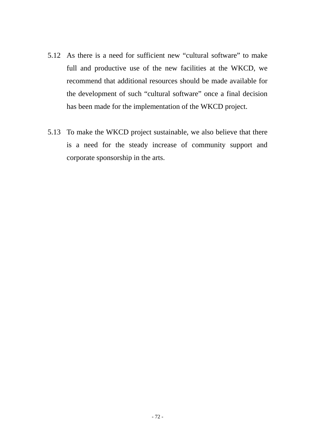- 5.12 As there is a need for sufficient new "cultural software" to make full and productive use of the new facilities at the WKCD, we recommend that additional resources should be made available for the development of such "cultural software" once a final decision has been made for the implementation of the WKCD project.
- 5.13 To make the WKCD project sustainable, we also believe that there is a need for the steady increase of community support and corporate sponsorship in the arts.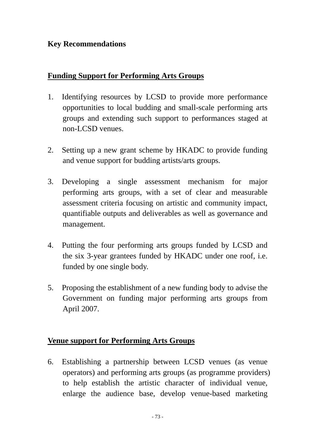## **Key Recommendations**

## **Funding Support for Performing Arts Groups**

- 1. Identifying resources by LCSD to provide more performance opportunities to local budding and small-scale performing arts groups and extending such support to performances staged at non-LCSD venues.
- 2. Setting up a new grant scheme by HKADC to provide funding and venue support for budding artists/arts groups.
- 3. Developing a single assessment mechanism for major performing arts groups, with a set of clear and measurable assessment criteria focusing on artistic and community impact, quantifiable outputs and deliverables as well as governance and management.
- 4. Putting the four performing arts groups funded by LCSD and the six 3-year grantees funded by HKADC under one roof, i.e. funded by one single body.
- 5. Proposing the establishment of a new funding body to advise the Government on funding major performing arts groups from April 2007.

## **Venue support for Performing Arts Groups**

6. Establishing a partnership between LCSD venues (as venue operators) and performing arts groups (as programme providers) to help establish the artistic character of individual venue, enlarge the audience base, develop venue-based marketing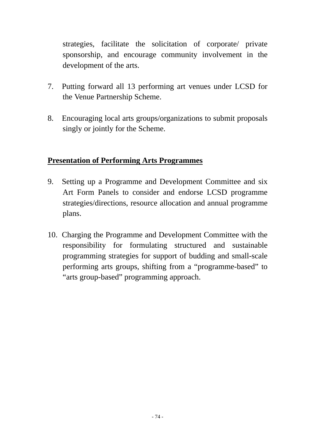strategies, facilitate the solicitation of corporate/ private sponsorship, and encourage community involvement in the development of the arts.

- 7. Putting forward all 13 performing art venues under LCSD for the Venue Partnership Scheme.
- 8. Encouraging local arts groups/organizations to submit proposals singly or jointly for the Scheme.

## **Presentation of Performing Arts Programmes**

- 9. Setting up a Programme and Development Committee and six Art Form Panels to consider and endorse LCSD programme strategies/directions, resource allocation and annual programme plans.
- 10. Charging the Programme and Development Committee with the responsibility for formulating structured and sustainable programming strategies for support of budding and small-scale performing arts groups, shifting from a "programme-based" to "arts group-based" programming approach.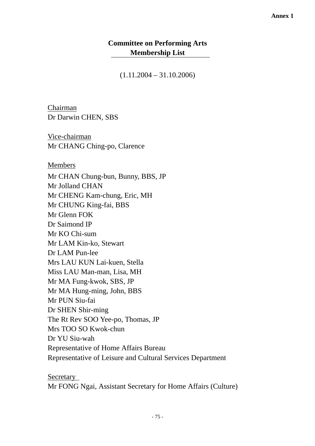### **Committee on Performing Arts Membership List**

 $(1.11.2004 - 31.10.2006)$ 

Chairman Dr Darwin CHEN, SBS

Vice-chairman Mr CHANG Ching-po, Clarence

#### Members

Mr CHAN Chung-bun, Bunny, BBS, JP Mr Jolland CHAN Mr CHENG Kam-chung, Eric, MH Mr CHUNG King-fai, BBS Mr Glenn FOK Dr Saimond IP Mr KO Chi-sum Mr LAM Kin-ko, Stewart Dr LAM Pun-lee Mrs LAU KUN Lai-kuen, Stella Miss LAU Man-man, Lisa, MH Mr MA Fung-kwok, SBS, JP Mr MA Hung-ming, John, BBS Mr PUN Siu-fai Dr SHEN Shir-ming The Rt Rev SOO Yee-po, Thomas, JP Mrs TOO SO Kwok-chun Dr YU Siu-wah Representative of Home Affairs Bureau Representative of Leisure and Cultural Services Department

Secretary

Mr FONG Ngai, Assistant Secretary for Home Affairs (Culture)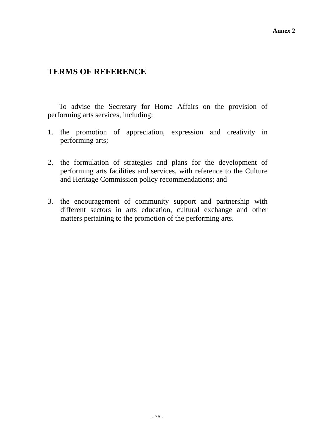# **TERMS OF REFERENCE**

To advise the Secretary for Home Affairs on the provision of performing arts services, including:

- 1. the promotion of appreciation, expression and creativity in performing arts;
- 2. the formulation of strategies and plans for the development of performing arts facilities and services, with reference to the Culture and Heritage Commission policy recommendations; and
- 3. the encouragement of community support and partnership with different sectors in arts education, cultural exchange and other matters pertaining to the promotion of the performing arts.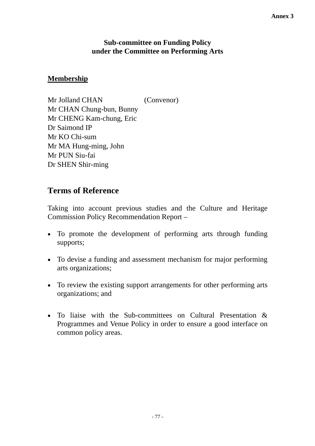#### **Annex 3**

#### **Sub-committee on Funding Policy under the Committee on Performing Arts**

### **Membership**

Mr Jolland CHAN (Convenor) Mr CHAN Chung-bun, Bunny Mr CHENG Kam-chung, Eric Dr Saimond IP Mr KO Chi-sum Mr MA Hung-ming, John Mr PUN Siu-fai Dr SHEN Shir-ming

## **Terms of Reference**

Taking into account previous studies and the Culture and Heritage Commission Policy Recommendation Report –

- To promote the development of performing arts through funding supports;
- To devise a funding and assessment mechanism for major performing arts organizations;
- To review the existing support arrangements for other performing arts organizations; and
- To liaise with the Sub-committees on Cultural Presentation & Programmes and Venue Policy in order to ensure a good interface on common policy areas.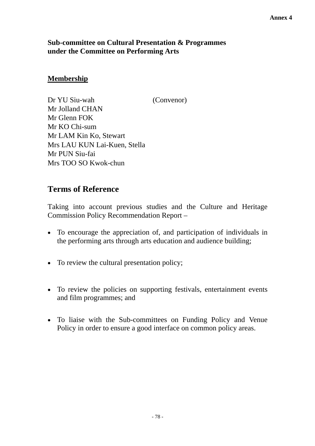#### **Annex 4**

### **Sub-committee on Cultural Presentation & Programmes under the Committee on Performing Arts**

### **Membership**

Dr YU Siu-wah (Convenor) Mr Jolland CHAN Mr Glenn FOK Mr KO Chi-sum Mr LAM Kin Ko, Stewart Mrs LAU KUN Lai-Kuen, Stella Mr PUN Siu-fai Mrs TOO SO Kwok-chun

## **Terms of Reference**

Taking into account previous studies and the Culture and Heritage Commission Policy Recommendation Report –

- To encourage the appreciation of, and participation of individuals in the performing arts through arts education and audience building;
- To review the cultural presentation policy;
- To review the policies on supporting festivals, entertainment events and film programmes; and
- To liaise with the Sub-committees on Funding Policy and Venue Policy in order to ensure a good interface on common policy areas.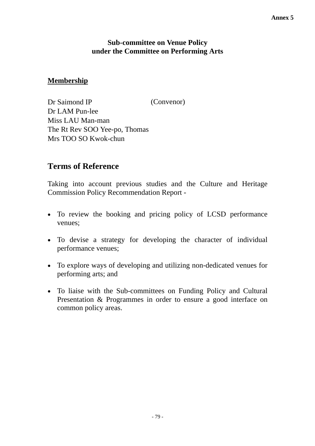#### **Annex 5**

#### **Sub-committee on Venue Policy under the Committee on Performing Arts**

#### **Membership**

Dr Saimond IP (Convenor) Dr LAM Pun-lee Miss LAU Man-man The Rt Rev SOO Yee-po, Thomas Mrs TOO SO Kwok-chun

## **Terms of Reference**

Taking into account previous studies and the Culture and Heritage Commission Policy Recommendation Report -

- To review the booking and pricing policy of LCSD performance venues;
- To devise a strategy for developing the character of individual performance venues;
- To explore ways of developing and utilizing non-dedicated venues for performing arts; and
- To liaise with the Sub-committees on Funding Policy and Cultural Presentation & Programmes in order to ensure a good interface on common policy areas.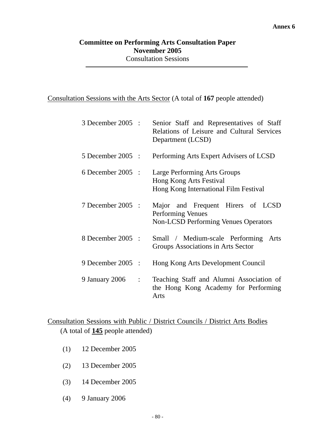### **Committee on Performing Arts Consultation Paper November 2005**  Consultation Sessions

#### Consultation Sessions with the Arts Sector (A total of **167** people attended)

| 3 December 2005 :                | Senior Staff and Representatives of Staff<br>Relations of Leisure and Cultural Services<br>Department (LCSD) |  |  |
|----------------------------------|--------------------------------------------------------------------------------------------------------------|--|--|
| $5$ December 2005 :              | Performing Arts Expert Advisers of LCSD                                                                      |  |  |
| $6$ December 2005 :              | Large Performing Arts Groups<br>Hong Kong Arts Festival<br>Hong Kong International Film Festival             |  |  |
| 7 December 2005 :                | Major and Frequent Hirers of LCSD<br><b>Performing Venues</b><br><b>Non-LCSD Performing Venues Operators</b> |  |  |
| 8 December 2005 :                | Small / Medium-scale Performing<br>Arts<br>Groups Associations in Arts Sector                                |  |  |
| 9 December 2005 :                | Hong Kong Arts Development Council                                                                           |  |  |
| 9 January 2006<br>$\ddot{\cdot}$ | Teaching Staff and Alumni Association of<br>the Hong Kong Academy for Performing<br>Arts                     |  |  |

## Consultation Sessions with Public / District Councils / District Arts Bodies (A total of **145** people attended)

- (1) 12 December 2005
- (2) 13 December 2005
- (3) 14 December 2005
- (4) 9 January 2006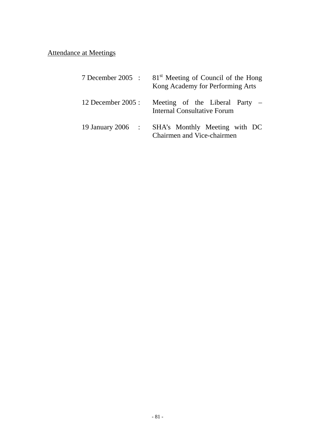# Attendance at Meetings

| $7$ December 2005: | 81 <sup>st</sup> Meeting of Council of the Hong<br>Kong Academy for Performing Arts |  |  |
|--------------------|-------------------------------------------------------------------------------------|--|--|
| 12 December 2005 : | Meeting of the Liberal Party $-$<br>Internal Consultative Forum                     |  |  |
| 19 January 2006 :  | SHA's Monthly Meeting with DC<br>Chairmen and Vice-chairmen                         |  |  |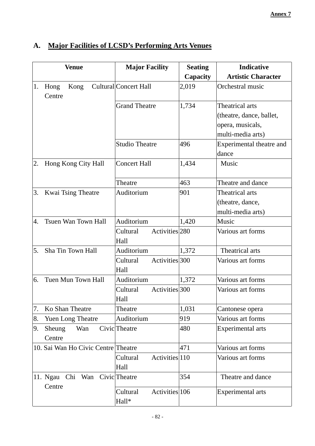|    | <b>Venue</b>                                | <b>Major Facility</b>               | <b>Seating</b> | <b>Indicative</b>                                                                    |
|----|---------------------------------------------|-------------------------------------|----------------|--------------------------------------------------------------------------------------|
|    |                                             |                                     | Capacity       | <b>Artistic Character</b>                                                            |
| 1. | Hong<br>Kong<br>Centre                      | <b>Cultural</b> Concert Hall        | 2,019          | Orchestral music                                                                     |
|    |                                             | <b>Grand Theatre</b>                | 1,734          | Theatrical arts<br>(theatre, dance, ballet,<br>opera, musicals,<br>multi-media arts) |
|    |                                             | <b>Studio Theatre</b>               | 496            | Experimental theatre and<br>dance                                                    |
| 2. | Hong Kong City Hall                         | <b>Concert Hall</b>                 | 1,434          | Music                                                                                |
|    |                                             | Theatre                             | 463            | Theatre and dance                                                                    |
| 3. | Kwai Tsing Theatre                          | Auditorium                          | 901            | Theatrical arts<br>(theatre, dance,<br>multi-media arts)                             |
| 4. | Tsuen Wan Town Hall                         | Auditorium                          | 1,420          | Music                                                                                |
|    |                                             | Cultural<br>Activities 280<br>Hall  |                | Various art forms                                                                    |
| 5. | Sha Tin Town Hall                           | Auditorium                          | 1,372          | Theatrical arts                                                                      |
|    |                                             | Activities 300<br>Cultural<br>Hall  |                | Various art forms                                                                    |
| 6. | Tuen Mun Town Hall                          | Auditorium                          | 1,372          | Various art forms                                                                    |
|    |                                             | Activities 300<br>Cultural<br>Hall  |                | Various art forms                                                                    |
| 7. | Ko Shan Theatre                             | Theatre                             | 1,031          | Cantonese opera                                                                      |
| 8. | Yuen Long Theatre                           | Auditorium                          | 919            | Various art forms                                                                    |
| 9. | Wan<br>Sheung<br>Centre                     | Civic Theatre                       | 480            | <b>Experimental</b> arts                                                             |
|    | 10. Sai Wan Ho Civic Centre Theatre         |                                     | 471            | Various art forms                                                                    |
|    |                                             | Activities 110<br>Cultural<br>Hall  |                | Various art forms                                                                    |
|    | Chi Wan Civic Theatre<br>11. Ngau<br>Centre |                                     | 354            | Theatre and dance                                                                    |
|    |                                             | Cultural<br>Activities 106<br>Hall* |                | Experimental arts                                                                    |

# **A. Major Facilities of LCSD's Performing Arts Venues**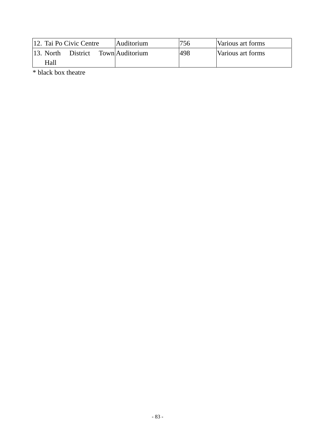| 12. Tai Po Civic Centre |          | Auditorium      | 756 | Various art forms |
|-------------------------|----------|-----------------|-----|-------------------|
| $13.$ North             | District | Town Auditorium | 498 | Various art forms |
| Hall                    |          |                 |     |                   |

\* black box theatre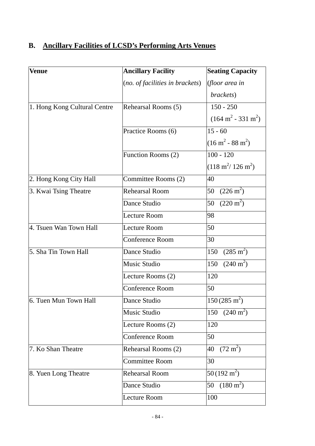# **B. Ancillary Facilities of LCSD's Performing Arts Venues**

| <b>Venue</b>                 | <b>Ancillary Facility</b>       | <b>Seating Capacity</b>               |
|------------------------------|---------------------------------|---------------------------------------|
|                              | (no. of facilities in brackets) | (floor area in                        |
|                              |                                 | brackets)                             |
| 1. Hong Kong Cultural Centre | Rehearsal Rooms (5)             | $150 - 250$                           |
|                              |                                 | $(164 \text{ m}^2 - 331 \text{ m}^2)$ |
|                              | Practice Rooms (6)              | $15 - 60$                             |
|                              |                                 | $(16 \text{ m}^2 - 88 \text{ m}^2)$   |
|                              | Function Rooms (2)              | $100 - 120$                           |
|                              |                                 | $(118 \text{ m}^2/ 126 \text{ m}^2)$  |
| 2. Hong Kong City Hall       | Committee Rooms (2)             | 40                                    |
| 3. Kwai Tsing Theatre        | <b>Rehearsal Room</b>           | $(226 \text{ m}^2)$<br>50             |
|                              | Dance Studio                    | $(220 \text{ m}^2)$<br>50             |
|                              | <b>Lecture Room</b>             | 98                                    |
| 4. Tsuen Wan Town Hall       | <b>Lecture Room</b>             | 50                                    |
|                              | Conference Room                 | 30                                    |
| 5. Sha Tin Town Hall         | Dance Studio                    | $(285 \text{ m}^2)$<br>150            |
|                              | <b>Music Studio</b>             | $(240 \text{ m}^2)$<br>150            |
|                              | Lecture Rooms (2)               | 120                                   |
|                              | <b>Conference Room</b>          | 50                                    |
| 6. Tuen Mun Town Hall        | Dance Studio                    | $150(285 \text{ m}^2)$                |
|                              | Music Studio                    | $(240 \text{ m}^2)$<br>150            |
|                              | Lecture Rooms (2)               | 120                                   |
|                              | <b>Conference Room</b>          | 50                                    |
| 7. Ko Shan Theatre           | Rehearsal Rooms (2)             | $(72 \text{ m}^2)$<br>40              |
|                              | <b>Committee Room</b>           | 30                                    |
| 8. Yuen Long Theatre         | <b>Rehearsal Room</b>           | $50(192 \text{ m}^2)$                 |
|                              | Dance Studio                    | $(180 \text{ m}^2)$<br>50             |
|                              | <b>Lecture Room</b>             | 100                                   |